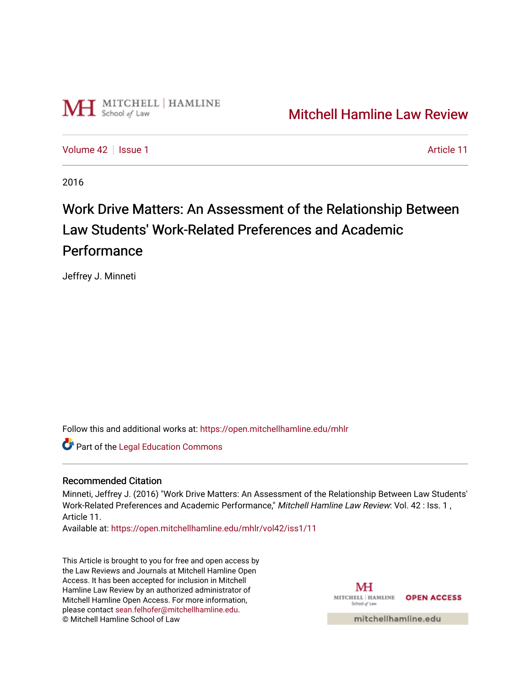

## [Mitchell Hamline Law Review](https://open.mitchellhamline.edu/mhlr)

[Volume 42](https://open.mitchellhamline.edu/mhlr/vol42) | [Issue 1](https://open.mitchellhamline.edu/mhlr/vol42/iss1) Article 11

2016

# Work Drive Matters: An Assessment of the Relationship Between Law Students' Work-Related Preferences and Academic **Performance**

Jeffrey J. Minneti

Follow this and additional works at: [https://open.mitchellhamline.edu/mhlr](https://open.mitchellhamline.edu/mhlr?utm_source=open.mitchellhamline.edu%2Fmhlr%2Fvol42%2Fiss1%2F11&utm_medium=PDF&utm_campaign=PDFCoverPages) 

**Part of the Legal Education Commons** 

#### Recommended Citation

Minneti, Jeffrey J. (2016) "Work Drive Matters: An Assessment of the Relationship Between Law Students' Work-Related Preferences and Academic Performance," Mitchell Hamline Law Review: Vol. 42 : Iss. 1 , Article 11.

Available at: [https://open.mitchellhamline.edu/mhlr/vol42/iss1/11](https://open.mitchellhamline.edu/mhlr/vol42/iss1/11?utm_source=open.mitchellhamline.edu%2Fmhlr%2Fvol42%2Fiss1%2F11&utm_medium=PDF&utm_campaign=PDFCoverPages)

This Article is brought to you for free and open access by the Law Reviews and Journals at Mitchell Hamline Open Access. It has been accepted for inclusion in Mitchell Hamline Law Review by an authorized administrator of Mitchell Hamline Open Access. For more information, please contact [sean.felhofer@mitchellhamline.edu.](mailto:sean.felhofer@mitchellhamline.edu) © Mitchell Hamline School of Law

MH MITCHELL HAMLINE OPEN ACCESS School of Lav

mitchellhamline.edu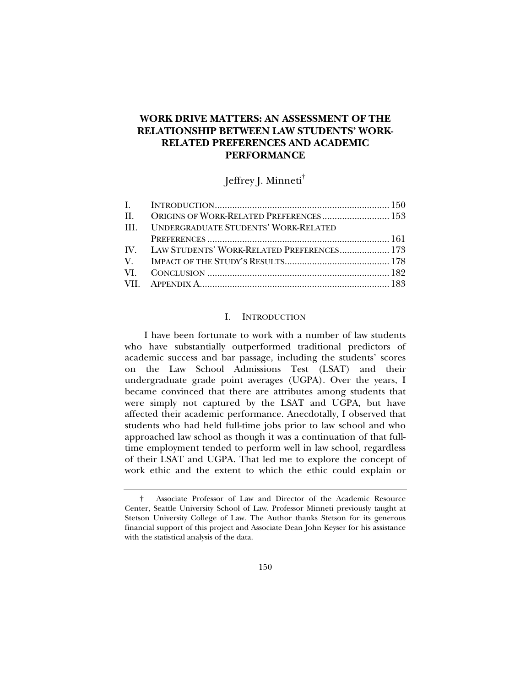### **WORK DRIVE MATTERS: AN ASSESSMENT OF THE RELATIONSHIP BETWEEN LAW STUDENTS' WORK-RELATED PREFERENCES AND ACADEMIC PERFORMANCE**

Jeffrey J. Minneti†

| <b>III. UNDERGRADUATE STUDENTS' WORK-RELATED</b> |  |
|--------------------------------------------------|--|
|                                                  |  |
| IV. LAW STUDENTS' WORK-RELATED PREFERENCES 173   |  |
|                                                  |  |
|                                                  |  |
|                                                  |  |

#### I. INTRODUCTION

I have been fortunate to work with a number of law students who have substantially outperformed traditional predictors of academic success and bar passage, including the students' scores on the Law School Admissions Test (LSAT) and their undergraduate grade point averages (UGPA). Over the years, I became convinced that there are attributes among students that were simply not captured by the LSAT and UGPA, but have affected their academic performance. Anecdotally, I observed that students who had held full-time jobs prior to law school and who approached law school as though it was a continuation of that fulltime employment tended to perform well in law school, regardless of their LSAT and UGPA. That led me to explore the concept of work ethic and the extent to which the ethic could explain or

 <sup>†</sup> Associate Professor of Law and Director of the Academic Resource Center, Seattle University School of Law. Professor Minneti previously taught at Stetson University College of Law. The Author thanks Stetson for its generous financial support of this project and Associate Dean John Keyser for his assistance with the statistical analysis of the data.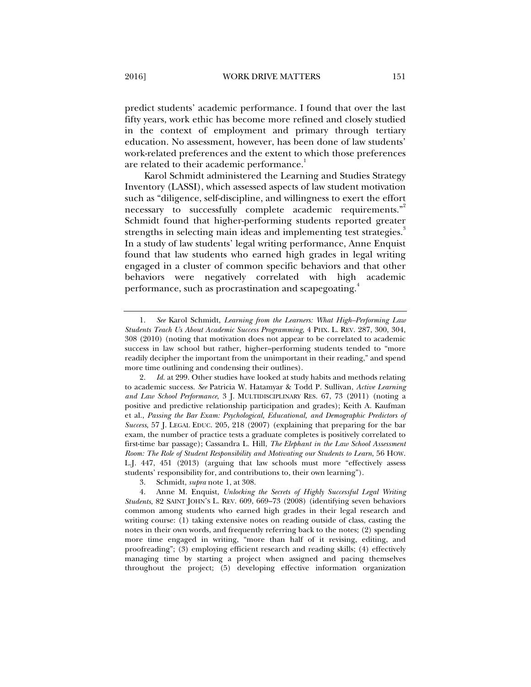predict students' academic performance. I found that over the last fifty years, work ethic has become more refined and closely studied in the context of employment and primary through tertiary education. No assessment, however, has been done of law students' work-related preferences and the extent to which those preferences are related to their academic performance.<sup>1</sup>

Karol Schmidt administered the Learning and Studies Strategy Inventory (LASSI), which assessed aspects of law student motivation such as "diligence, self-discipline, and willingness to exert the effort necessary to successfully complete academic requirements."<sup>2</sup> Schmidt found that higher-performing students reported greater strengths in selecting main ideas and implementing test strategies.<sup>3</sup> In a study of law students' legal writing performance, Anne Enquist found that law students who earned high grades in legal writing engaged in a cluster of common specific behaviors and that other behaviors were negatively correlated with high academic performance, such as procrastination and scapegoating.<sup>4</sup>

 <sup>1.</sup> *See* Karol Schmidt, *Learning from the Learners: What High–Performing Law Students Teach Us About Academic Success Programming*, 4 PHX. L. REV. 287, 300, 304, 308 (2010) (noting that motivation does not appear to be correlated to academic success in law school but rather, higher–performing students tended to "more readily decipher the important from the unimportant in their reading," and spend more time outlining and condensing their outlines).

 <sup>2.</sup> *Id.* at 299. Other studies have looked at study habits and methods relating to academic success. *See* Patricia W. Hatamyar & Todd P. Sullivan, *Active Learning and Law School Performance*, 3 J. MULTIDISCIPLINARY RES. 67, 73 (2011) (noting a positive and predictive relationship participation and grades); Keith A. Kaufman et al., *Passing the Bar Exam: Psychological, Educational, and Demographic Predictors of Success*, 57 J. LEGAL EDUC. 205, 218 (2007) (explaining that preparing for the bar exam, the number of practice tests a graduate completes is positively correlated to first-time bar passage); Cassandra L. Hill, *The Elephant in the Law School Assessment Room: The Role of Student Responsibility and Motivating our Students to Learn*, 56 HOW. L.J. 447, 451 (2013) (arguing that law schools must more "effectively assess students' responsibility for, and contributions to, their own learning").

 <sup>3.</sup> Schmidt, *supra* note 1, at 308.

 <sup>4.</sup> Anne M. Enquist, *Unlocking the Secrets of Highly Successful Legal Writing Students*, 82 SAINT JOHN'S L. REV. 609, 669–73 (2008) (identifying seven behaviors common among students who earned high grades in their legal research and writing course: (1) taking extensive notes on reading outside of class, casting the notes in their own words, and frequently referring back to the notes; (2) spending more time engaged in writing, "more than half of it revising, editing, and proofreading"; (3) employing efficient research and reading skills; (4) effectively managing time by starting a project when assigned and pacing themselves throughout the project; (5) developing effective information organization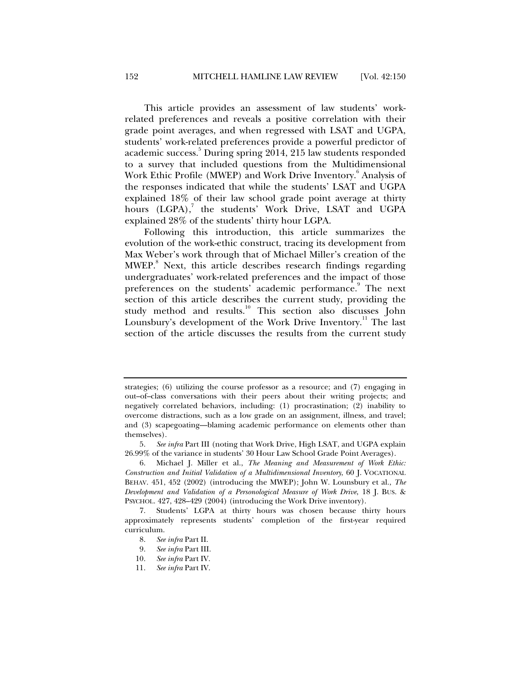This article provides an assessment of law students' workrelated preferences and reveals a positive correlation with their grade point averages, and when regressed with LSAT and UGPA, students' work-related preferences provide a powerful predictor of academic success.<sup>5</sup> During spring 2014, 215 law students responded to a survey that included questions from the Multidimensional Work Ethic Profile (MWEP) and Work Drive Inventory. <sup>6</sup> Analysis of the responses indicated that while the students' LSAT and UGPA explained 18% of their law school grade point average at thirty hours (LGPA),<sup>7</sup> the students' Work Drive, LSAT and UGPA explained 28% of the students' thirty hour LGPA.

Following this introduction, this article summarizes the evolution of the work-ethic construct, tracing its development from Max Weber's work through that of Michael Miller's creation of the MWEP.<sup>8</sup> Next, this article describes research findings regarding undergraduates' work-related preferences and the impact of those preferences on the students' academic performance.<sup>9</sup> The next section of this article describes the current study, providing the study method and results.<sup>10</sup> This section also discusses John Lounsbury's development of the Work Drive Inventory.<sup>11</sup> The last section of the article discusses the results from the current study

strategies; (6) utilizing the course professor as a resource; and (7) engaging in out–of–class conversations with their peers about their writing projects; and negatively correlated behaviors, including: (1) procrastination; (2) inability to overcome distractions, such as a low grade on an assignment, illness, and travel; and (3) scapegoating—blaming academic performance on elements other than themselves).

 <sup>5.</sup> *See infra* Part III (noting that Work Drive, High LSAT, and UGPA explain 26.99% of the variance in students' 30 Hour Law School Grade Point Averages).

 <sup>6.</sup> Michael J. Miller et al., *The Meaning and Measurement of Work Ethic: Construction and Initial Validation of a Multidimensional Inventory*, 60 J. VOCATIONAL BEHAV. 451, 452 (2002) (introducing the MWEP); John W. Lounsbury et al., *The Development and Validation of a Personological Measure of Work Drive*, 18 J. BUS. & PSYCHOL. 427, 428–429 (2004) (introducing the Work Drive inventory).

 <sup>7.</sup> Students' LGPA at thirty hours was chosen because thirty hours approximately represents students' completion of the first-year required curriculum.

 <sup>8.</sup> *See infra* Part II.

 <sup>9.</sup> *See infra* Part III.

 <sup>10.</sup> *See infra* Part IV.

 <sup>11.</sup> *See infra* Part IV.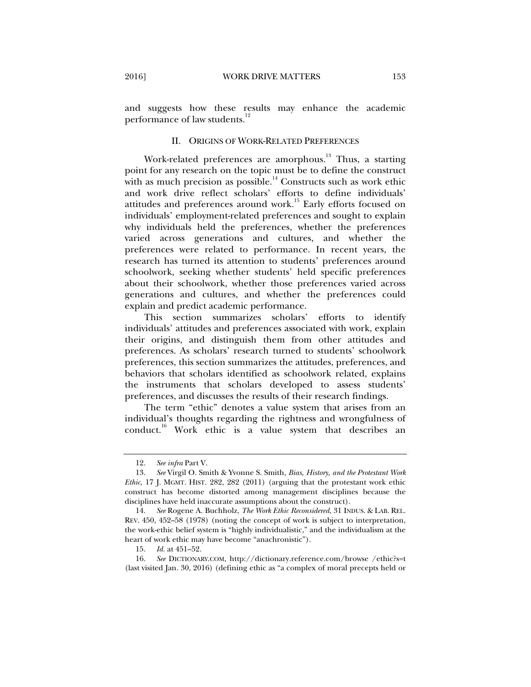and suggests how these results may enhance the academic performance of law students.<sup>12</sup>

#### II. ORIGINS OF WORK-RELATED PREFERENCES

Work-related preferences are amorphous.<sup>13</sup> Thus, a starting point for any research on the topic must be to define the construct with as much precision as possible.<sup>14</sup> Constructs such as work ethic and work drive reflect scholars' efforts to define individuals' attitudes and preferences around work.<sup>15</sup> Early efforts focused on individuals' employment-related preferences and sought to explain why individuals held the preferences, whether the preferences varied across generations and cultures, and whether the preferences were related to performance. In recent years, the research has turned its attention to students' preferences around schoolwork, seeking whether students' held specific preferences about their schoolwork, whether those preferences varied across generations and cultures, and whether the preferences could explain and predict academic performance.

This section summarizes scholars' efforts to identify individuals' attitudes and preferences associated with work, explain their origins, and distinguish them from other attitudes and preferences. As scholars' research turned to students' schoolwork preferences, this section summarizes the attitudes, preferences, and behaviors that scholars identified as schoolwork related, explains the instruments that scholars developed to assess students' preferences, and discusses the results of their research findings.

The term "ethic" denotes a value system that arises from an individual's thoughts regarding the rightness and wrongfulness of conduct.16 Work ethic is a value system that describes an

 <sup>12.</sup> *See infra* Part V.

 <sup>13.</sup> *See* Virgil O. Smith & Yvonne S. Smith, *Bias, History, and the Protestant Work Ethic*, 17 J. MGMT. HIST. 282, 282 (2011) (arguing that the protestant work ethic construct has become distorted among management disciplines because the disciplines have held inaccurate assumptions about the construct).

 <sup>14.</sup> *See* Rogene A. Buchholz, *The Work Ethic Reconsidered*, 31 INDUS. & LAB. REL. REV. 450, 452–58 (1978) (noting the concept of work is subject to interpretation, the work-ethic belief system is "highly individualistic," and the individualism at the heart of work ethic may have become "anachronistic").

 <sup>15.</sup> *Id.* at 451–52.

 <sup>16.</sup> *See* DICTIONARY.COM, http://dictionary.reference.com/browse /ethic?s=t (last visited Jan. 30, 2016) (defining ethic as "a complex of moral precepts held or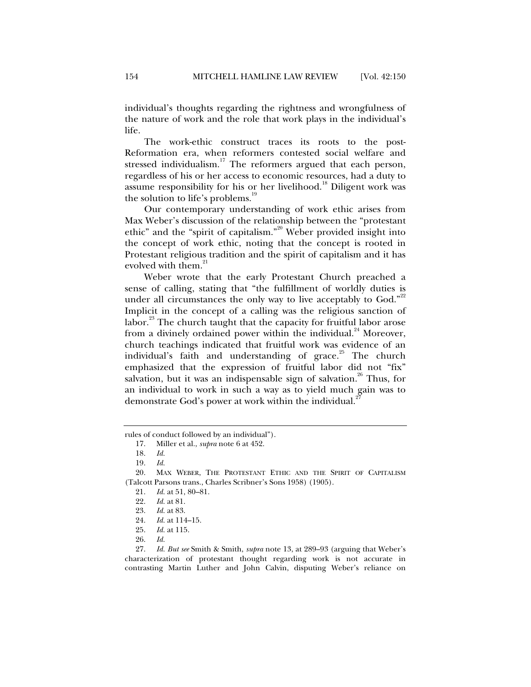individual's thoughts regarding the rightness and wrongfulness of the nature of work and the role that work plays in the individual's life.

The work-ethic construct traces its roots to the post-Reformation era, when reformers contested social welfare and stressed individualism.<sup>17</sup> The reformers argued that each person, regardless of his or her access to economic resources, had a duty to assume responsibility for his or her livelihood.<sup>18</sup> Diligent work was the solution to life's problems.<sup>19</sup>

Our contemporary understanding of work ethic arises from Max Weber's discussion of the relationship between the "protestant ethic" and the "spirit of capitalism."<sup>20</sup> Weber provided insight into the concept of work ethic, noting that the concept is rooted in Protestant religious tradition and the spirit of capitalism and it has evolved with them. $^{21}$ 

Weber wrote that the early Protestant Church preached a sense of calling, stating that "the fulfillment of worldly duties is under all circumstances the only way to live acceptably to God."<sup>22</sup> Implicit in the concept of a calling was the religious sanction of labor.<sup>23</sup> The church taught that the capacity for fruitful labor arose from a divinely ordained power within the individual. $^{24}$  Moreover, church teachings indicated that fruitful work was evidence of an individual's faith and understanding of grace.<sup>25</sup> The church emphasized that the expression of fruitful labor did not "fix" salvation, but it was an indispensable sign of salvation.<sup>26</sup> Thus, for an individual to work in such a way as to yield much gain was to demonstrate God's power at work within the individual.<sup>2</sup>

- 25. *Id.* at 115.
- 26. *Id.*

 27. *Id. But see* Smith & Smith, *supra* note 13, at 289–93 (arguing that Weber's characterization of protestant thought regarding work is not accurate in contrasting Martin Luther and John Calvin, disputing Weber's reliance on

rules of conduct followed by an individual").

 <sup>17.</sup> Miller et al., *supra* note 6 at 452.

 <sup>18.</sup> *Id.*

 <sup>19.</sup> *Id.* 

MAX WEBER, THE PROTESTANT ETHIC AND THE SPIRIT OF CAPITALISM (Talcott Parsons trans., Charles Scribner's Sons 1958) (1905).

 <sup>21.</sup> *Id.* at 51, 80–81.

 <sup>22.</sup> *Id.* at 81.

 <sup>23.</sup> *Id.* at 83.

 <sup>24.</sup> *Id.* at 114–15.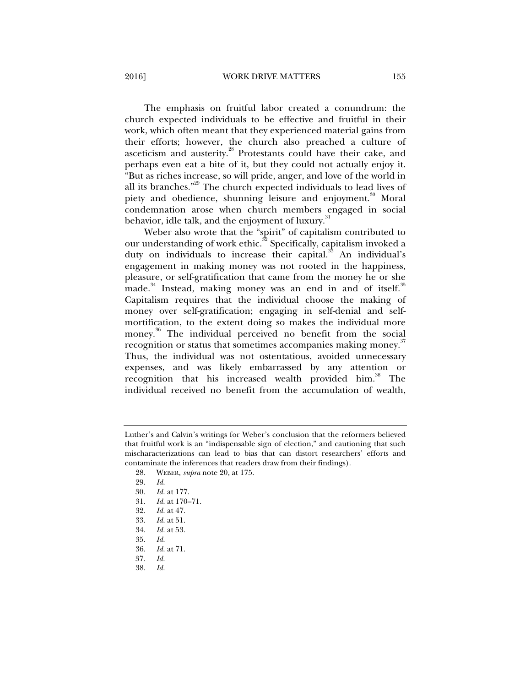2016] WORK DRIVE MATTERS 155

The emphasis on fruitful labor created a conundrum: the church expected individuals to be effective and fruitful in their work, which often meant that they experienced material gains from their efforts; however, the church also preached a culture of asceticism and austerity.<sup>28</sup> Protestants could have their cake, and perhaps even eat a bite of it, but they could not actually enjoy it. "But as riches increase, so will pride, anger, and love of the world in all its branches."29 The church expected individuals to lead lives of piety and obedience, shunning leisure and enjoyment.<sup>30</sup> Moral condemnation arose when church members engaged in social behavior, idle talk, and the enjoyment of luxury.<sup>31</sup>

Weber also wrote that the "spirit" of capitalism contributed to our understanding of work ethic. $32$  Specifically, capitalism invoked a duty on individuals to increase their capital.<sup>33</sup> An individual's engagement in making money was not rooted in the happiness, pleasure, or self-gratification that came from the money he or she made.<sup>34</sup> Instead, making money was an end in and of itself.<sup>35</sup> Capitalism requires that the individual choose the making of money over self-gratification; engaging in self-denial and selfmortification, to the extent doing so makes the individual more money.<sup>36</sup> The individual perceived no benefit from the social recognition or status that sometimes accompanies making money.<sup>37</sup> Thus, the individual was not ostentatious, avoided unnecessary expenses, and was likely embarrassed by any attention or recognition that his increased wealth provided him.<sup>38</sup> The individual received no benefit from the accumulation of wealth,

- 31. *Id.* at 170–71.
- 32. *Id.* at 47.
- 
- 33. *Id.* at 51. 34. *Id.* at 53.
- 35. *Id.*
- 36. *Id.* at 71.
- 37*. Id.*
- 
- 38. *Id.*

Luther's and Calvin's writings for Weber's conclusion that the reformers believed that fruitful work is an "indispensable sign of election," and cautioning that such mischaracterizations can lead to bias that can distort researchers' efforts and contaminate the inferences that readers draw from their findings).

 <sup>28.</sup> WEBER, *supra* note 20, at 175.

 <sup>29.</sup> *Id.*

<sup>30</sup>*. Id.* at 177.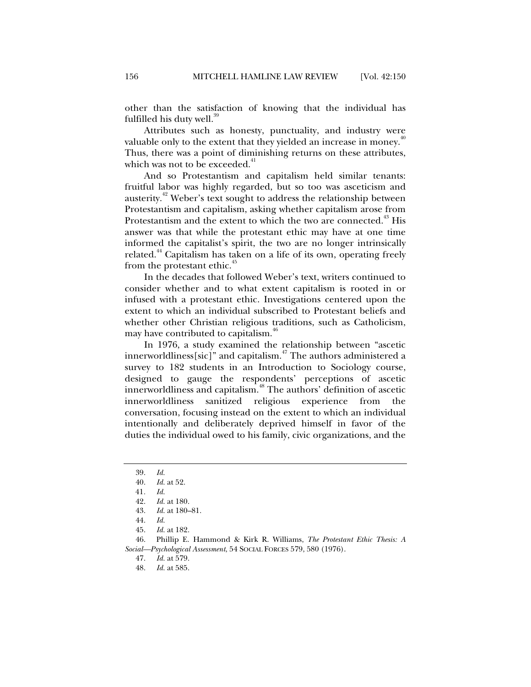other than the satisfaction of knowing that the individual has fulfilled his duty well. $39$ 

Attributes such as honesty, punctuality, and industry were valuable only to the extent that they yielded an increase in money.<sup>40</sup> Thus, there was a point of diminishing returns on these attributes, which was not to be exceeded.<sup>41</sup>

And so Protestantism and capitalism held similar tenants: fruitful labor was highly regarded, but so too was asceticism and austerity.<sup>42</sup> Weber's text sought to address the relationship between Protestantism and capitalism, asking whether capitalism arose from Protestantism and the extent to which the two are connected.<sup>43</sup> His answer was that while the protestant ethic may have at one time informed the capitalist's spirit, the two are no longer intrinsically related.<sup>44</sup> Capitalism has taken on a life of its own, operating freely from the protestant ethic.<sup>45</sup>

In the decades that followed Weber's text, writers continued to consider whether and to what extent capitalism is rooted in or infused with a protestant ethic. Investigations centered upon the extent to which an individual subscribed to Protestant beliefs and whether other Christian religious traditions, such as Catholicism, may have contributed to capitalism.<sup>46</sup>

In 1976, a study examined the relationship between "ascetic innerworldliness[sic]" and capitalism.47 The authors administered a survey to 182 students in an Introduction to Sociology course, designed to gauge the respondents' perceptions of ascetic innerworldliness and capitalism.48 The authors' definition of ascetic innerworldliness sanitized religious experience from the conversation, focusing instead on the extent to which an individual intentionally and deliberately deprived himself in favor of the duties the individual owed to his family, civic organizations, and the

 46. Phillip E. Hammond & Kirk R. Williams, *The Protestant Ethic Thesis: A Social—Psychological Assessment*, 54 SOCIAL FORCES 579, 580 (1976).

47. *Id.* at 579.

 <sup>39.</sup> *Id.*

 <sup>40.</sup> *Id.* at 52.

<sup>41</sup>*. Id.*

 <sup>42.</sup> *Id.* at 180.

 <sup>43.</sup> *Id.* at 180–81.

 <sup>44.</sup> *Id.*

 <sup>45.</sup> *Id.* at 182.

 <sup>48.</sup> *Id.* at 585.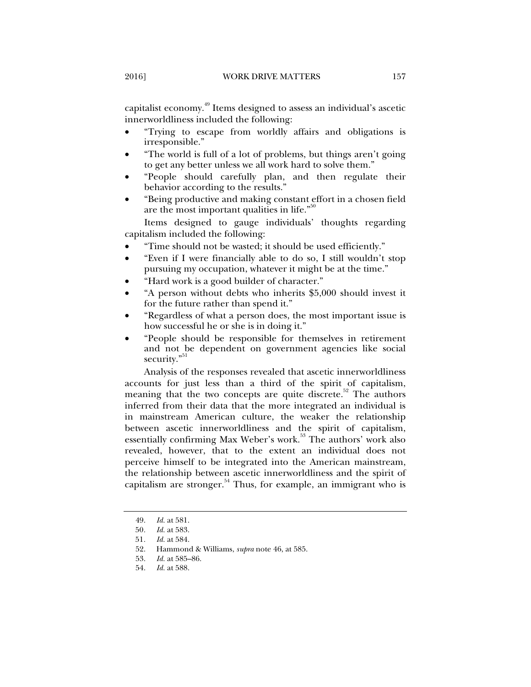capitalist economy.<sup>49</sup> Items designed to assess an individual's ascetic innerworldliness included the following:

- "Trying to escape from worldly affairs and obligations is irresponsible."
- "The world is full of a lot of problems, but things aren't going to get any better unless we all work hard to solve them."
- "People should carefully plan, and then regulate their behavior according to the results."
- "Being productive and making constant effort in a chosen field are the most important qualities in life. $\frac{50}{100}$

Items designed to gauge individuals' thoughts regarding capitalism included the following:

- "Time should not be wasted; it should be used efficiently."
- "Even if I were financially able to do so, I still wouldn't stop pursuing my occupation, whatever it might be at the time."
- "Hard work is a good builder of character."
- "A person without debts who inherits \$5,000 should invest it for the future rather than spend it."
- "Regardless of what a person does, the most important issue is how successful he or she is in doing it."
- "People should be responsible for themselves in retirement and not be dependent on government agencies like social security."<sup>51</sup>

Analysis of the responses revealed that ascetic innerworldliness accounts for just less than a third of the spirit of capitalism, meaning that the two concepts are quite discrete.<sup>52</sup> The authors inferred from their data that the more integrated an individual is in mainstream American culture, the weaker the relationship between ascetic innerworldliness and the spirit of capitalism, essentially confirming Max Weber's work.<sup>53</sup> The authors' work also revealed, however, that to the extent an individual does not perceive himself to be integrated into the American mainstream, the relationship between ascetic innerworldliness and the spirit of capitalism are stronger.<sup>54</sup> Thus, for example, an immigrant who is

 <sup>49.</sup> *Id.* at 581.

<sup>50</sup>*. Id.* at 583.

<sup>51</sup>*. Id.* at 584.

 <sup>52.</sup> Hammond & Williams, *supra* note 46, at 585.

 <sup>53.</sup> *Id.* at 585–86.

 <sup>54.</sup> *Id.* at 588.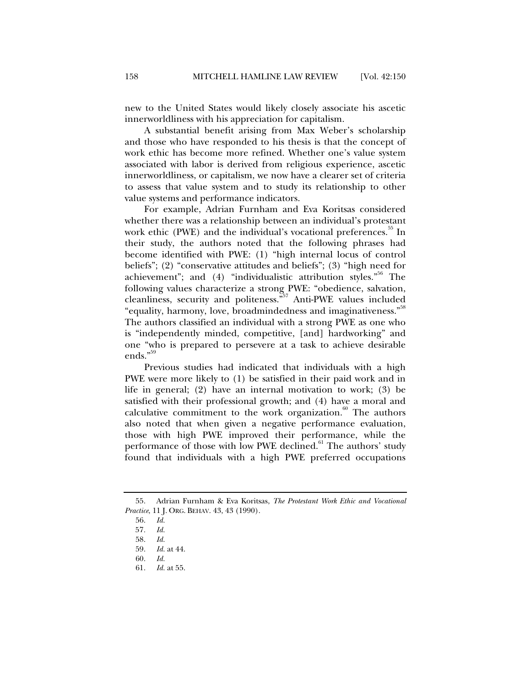new to the United States would likely closely associate his ascetic innerworldliness with his appreciation for capitalism.

A substantial benefit arising from Max Weber's scholarship and those who have responded to his thesis is that the concept of work ethic has become more refined. Whether one's value system associated with labor is derived from religious experience, ascetic innerworldliness, or capitalism, we now have a clearer set of criteria to assess that value system and to study its relationship to other value systems and performance indicators.

For example, Adrian Furnham and Eva Koritsas considered whether there was a relationship between an individual's protestant work ethic (PWE) and the individual's vocational preferences.<sup>55</sup> In their study, the authors noted that the following phrases had become identified with PWE: (1) "high internal locus of control beliefs"; (2) "conservative attitudes and beliefs"; (3) "high need for achievement"; and (4) "individualistic attribution styles."<sup>56</sup> The following values characterize a strong PWE: "obedience, salvation, cleanliness, security and politeness."57 Anti-PWE values included "equality, harmony, love, broadmindedness and imaginativeness."<sup>58</sup> The authors classified an individual with a strong PWE as one who is "independently minded, competitive, [and] hardworking" and one "who is prepared to persevere at a task to achieve desirable ends."59

Previous studies had indicated that individuals with a high PWE were more likely to (1) be satisfied in their paid work and in life in general; (2) have an internal motivation to work; (3) be satisfied with their professional growth; and (4) have a moral and calculative commitment to the work organization. $60$  The authors also noted that when given a negative performance evaluation, those with high PWE improved their performance, while the performance of those with low PWE declined.<sup>61</sup> The authors' study found that individuals with a high PWE preferred occupations

 <sup>55.</sup> Adrian Furnham & Eva Koritsas, *The Protestant Work Ethic and Vocational Practice*, 11 J. ORG. BEHAV. 43, 43 (1990).

 <sup>56.</sup> *Id.*

<sup>57</sup>*. Id.*

 <sup>58.</sup> *Id.*

 <sup>59.</sup> *Id.* at 44.

 <sup>60.</sup> *Id.*

 <sup>61.</sup> *Id.* at 55.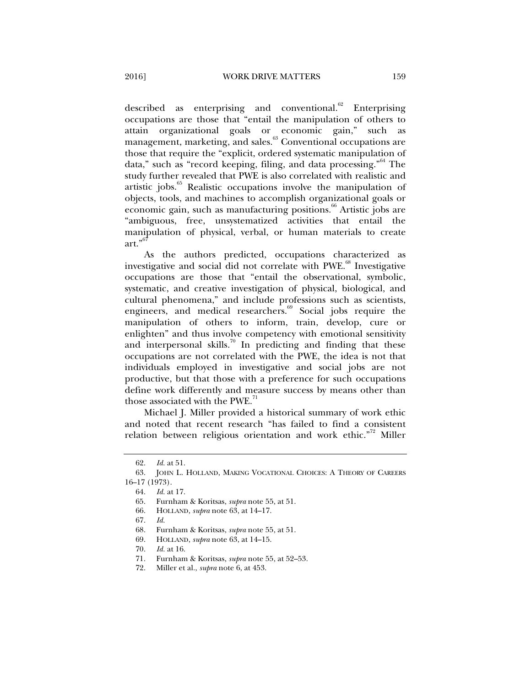described as enterprising and conventional. $62$  Enterprising occupations are those that "entail the manipulation of others to attain organizational goals or economic gain," such as management, marketing, and sales.<sup>63</sup> Conventional occupations are those that require the "explicit, ordered systematic manipulation of data," such as "record keeping, filing, and data processing."<sup>64</sup> The study further revealed that PWE is also correlated with realistic and artistic jobs.<sup>65</sup> Realistic occupations involve the manipulation of objects, tools, and machines to accomplish organizational goals or economic gain, such as manufacturing positions.<sup>66</sup> Artistic jobs are "ambiguous, free, unsystematized activities that entail the manipulation of physical, verbal, or human materials to create art." $^{6}$ 

As the authors predicted, occupations characterized as investigative and social did not correlate with PWE.<sup>68</sup> Investigative occupations are those that "entail the observational, symbolic, systematic, and creative investigation of physical, biological, and cultural phenomena," and include professions such as scientists, engineers, and medical researchers.<sup>69</sup> Social jobs require the manipulation of others to inform, train, develop, cure or enlighten" and thus involve competency with emotional sensitivity and interpersonal skills.<sup>70</sup> In predicting and finding that these occupations are not correlated with the PWE, the idea is not that individuals employed in investigative and social jobs are not productive, but that those with a preference for such occupations define work differently and measure success by means other than those associated with the PWE.<sup>71</sup>

Michael J. Miller provided a historical summary of work ethic and noted that recent research "has failed to find a consistent relation between religious orientation and work ethic."<sup>72</sup> Miller

 <sup>62.</sup> *Id.* at 51.

 <sup>63.</sup> JOHN L. HOLLAND, MAKING VOCATIONAL CHOICES: A THEORY OF CAREERS 16–17 (1973).

 <sup>64.</sup> *Id.* at 17.

 <sup>65.</sup> Furnham & Koritsas, *supra* note 55, at 51.

 <sup>66.</sup> HOLLAND, *supra* note 63, at 14–17.

 <sup>67.</sup> *Id.*

 <sup>68.</sup> Furnham & Koritsas, *supra* note 55, at 51.

 <sup>69.</sup> HOLLAND, *supra* note 63, at 14–15.

 <sup>70.</sup> *Id.* at 16.

Furnham & Koritsas, *supra* note 55, at 52–53.

 <sup>72.</sup> Miller et al., *supra* note 6, at 453.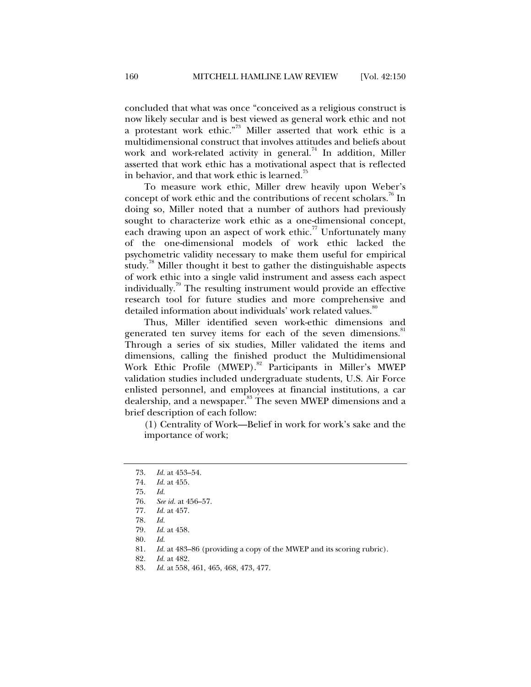concluded that what was once "conceived as a religious construct is now likely secular and is best viewed as general work ethic and not a protestant work ethic."73 Miller asserted that work ethic is a multidimensional construct that involves attitudes and beliefs about work and work-related activity in general.<sup>74</sup> In addition, Miller asserted that work ethic has a motivational aspect that is reflected in behavior, and that work ethic is learned.<sup>75</sup>

To measure work ethic, Miller drew heavily upon Weber's concept of work ethic and the contributions of recent scholars.<sup>76</sup> In doing so, Miller noted that a number of authors had previously sought to characterize work ethic as a one-dimensional concept, each drawing upon an aspect of work ethic.<sup>77</sup> Unfortunately many of the one-dimensional models of work ethic lacked the psychometric validity necessary to make them useful for empirical study.<sup>78</sup> Miller thought it best to gather the distinguishable aspects of work ethic into a single valid instrument and assess each aspect individually.<sup>79</sup> The resulting instrument would provide an effective research tool for future studies and more comprehensive and detailed information about individuals' work related values.<sup>80</sup>

Thus, Miller identified seven work-ethic dimensions and generated ten survey items for each of the seven dimensions.<sup>81</sup> Through a series of six studies, Miller validated the items and dimensions, calling the finished product the Multidimensional Work Ethic Profile (MWEP).<sup>82</sup> Participants in Miller's MWEP validation studies included undergraduate students, U.S. Air Force enlisted personnel, and employees at financial institutions, a car dealership, and a newspaper.<sup>83</sup> The seven MWEP dimensions and a brief description of each follow:

(1) Centrality of Work—Belief in work for work's sake and the importance of work;

 <sup>73.</sup> *Id.* at 453–54.

 <sup>74.</sup> *Id.* at 455.

 <sup>75.</sup> *Id.* 

 <sup>76.</sup> *See id.* at 456–57.

 <sup>77.</sup> *Id.* at 457.

 <sup>78.</sup> *Id.*

*Id.* at 458.

 <sup>80.</sup> *Id.*

 <sup>81.</sup> *Id.* at 483–86 (providing a copy of the MWEP and its scoring rubric).

 <sup>82.</sup> *Id.* at 482.

 <sup>83.</sup> *Id.* at 558, 461, 465, 468, 473, 477.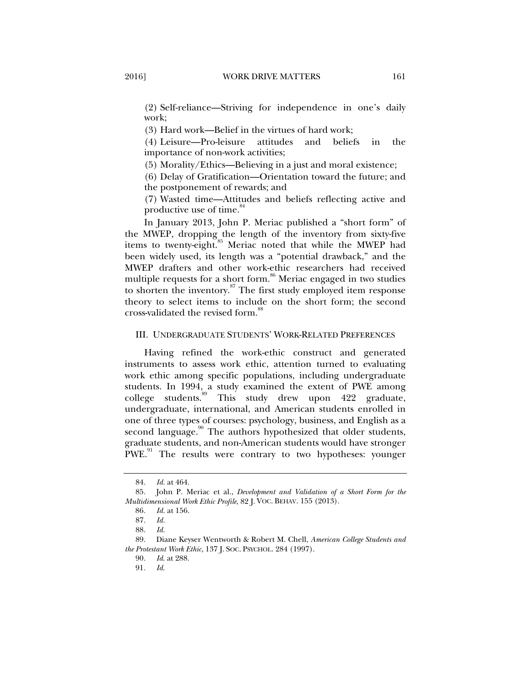(2) Self-reliance—Striving for independence in one's daily work;

(3) Hard work—Belief in the virtues of hard work;

(4) Leisure—Pro-leisure attitudes and beliefs in the importance of non-work activities;

(5) Morality/Ethics—Believing in a just and moral existence;

(6) Delay of Gratification—Orientation toward the future; and the postponement of rewards; and

(7) Wasted time—Attitudes and beliefs reflecting active and productive use of time.<sup>8</sup>

In January 2013, John P. Meriac published a "short form" of the MWEP, dropping the length of the inventory from sixty-five items to twenty-eight.<sup>85</sup> Meriac noted that while the MWEP had been widely used, its length was a "potential drawback," and the MWEP drafters and other work-ethic researchers had received multiple requests for a short form.<sup>86</sup> Meriac engaged in two studies to shorten the inventory.<sup>87</sup> The first study employed item response theory to select items to include on the short form; the second cross-validated the revised form.<sup>88</sup>

#### III. UNDERGRADUATE STUDENTS' WORK-RELATED PREFERENCES

Having refined the work-ethic construct and generated instruments to assess work ethic, attention turned to evaluating work ethic among specific populations, including undergraduate students. In 1994, a study examined the extent of PWE among college students.<sup>89</sup> This study drew upon 422 graduate, undergraduate, international, and American students enrolled in one of three types of courses: psychology, business, and English as a second language.<sup>90</sup> The authors hypothesized that older students, graduate students, and non-American students would have stronger PWE.<sup>91</sup> The results were contrary to two hypotheses: younger

 <sup>84.</sup> *Id.* at 464.

 <sup>85.</sup> John P. Meriac et al., *Development and Validation of a Short Form for the Multidimensional Work Ethic Profile*, 82 J. VOC. BEHAV. 155 (2013).

<sup>86</sup>*. Id.* at 156.

 <sup>87.</sup> *Id.* 

 <sup>88.</sup> *Id.*

 <sup>89.</sup> Diane Keyser Wentworth & Robert M. Chell, *American College Students and the Protestant Work Ethic*, 137 J. SOC. PSYCHOL. 284 (1997).

 <sup>90.</sup> *Id*. at 288.

 <sup>91.</sup> *Id*.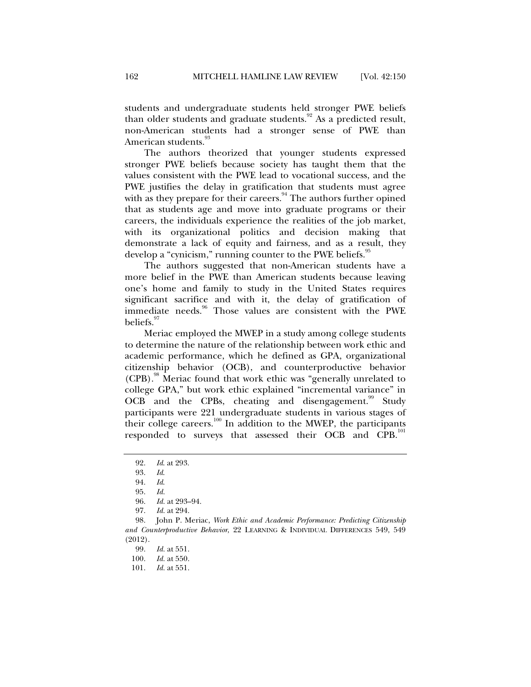students and undergraduate students held stronger PWE beliefs than older students and graduate students.<sup>92</sup> As a predicted result, non-American students had a stronger sense of PWE than American students.<sup>93</sup>

The authors theorized that younger students expressed stronger PWE beliefs because society has taught them that the values consistent with the PWE lead to vocational success, and the PWE justifies the delay in gratification that students must agree with as they prepare for their careers.<sup>94</sup> The authors further opined that as students age and move into graduate programs or their careers, the individuals experience the realities of the job market, with its organizational politics and decision making that demonstrate a lack of equity and fairness, and as a result, they develop a "cynicism," running counter to the PWE beliefs.<sup>95</sup>

The authors suggested that non-American students have a more belief in the PWE than American students because leaving one's home and family to study in the United States requires significant sacrifice and with it, the delay of gratification of immediate needs.<sup>96</sup> Those values are consistent with the PWE beliefs.<sup>97</sup>

Meriac employed the MWEP in a study among college students to determine the nature of the relationship between work ethic and academic performance, which he defined as GPA, organizational citizenship behavior (OCB), and counterproductive behavior (CPB).<sup>98</sup> Meriac found that work ethic was "generally unrelated to college GPA," but work ethic explained "incremental variance" in OCB and the CPBs, cheating and disengagement.<sup>99</sup> Study participants were 221 undergraduate students in various stages of their college careers.<sup>100</sup> In addition to the MWEP, the participants responded to surveys that assessed their OCB and CPB.<sup>101</sup>

 <sup>92.</sup> *Id*. at 293.

 <sup>93.</sup> *Id*.

 <sup>94.</sup> *Id*.

 <sup>95.</sup> *Id.*

 <sup>96.</sup> *Id.* at 293–94.

 <sup>97.</sup> *Id.* at 294.

 <sup>98.</sup> John P. Meriac, *Work Ethic and Academic Performance: Predicting Citizenship and Counterproductive Behavior*, 22 LEARNING & INDIVIDUAL DIFFERENCES 549, 549 (2012).

 <sup>99.</sup> *Id.* at 551.

 <sup>100.</sup> *Id.* at 550.

 <sup>101.</sup> *Id.* at 551.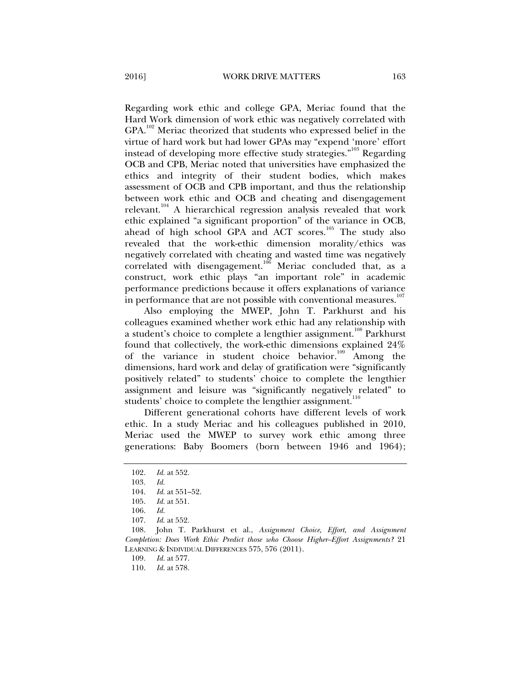Regarding work ethic and college GPA, Meriac found that the Hard Work dimension of work ethic was negatively correlated with  $GPA$ .<sup>102</sup> Meriac theorized that students who expressed belief in the virtue of hard work but had lower GPAs may "expend 'more' effort instead of developing more effective study strategies."<sup>103</sup> Regarding OCB and CPB, Meriac noted that universities have emphasized the ethics and integrity of their student bodies, which makes assessment of OCB and CPB important, and thus the relationship between work ethic and OCB and cheating and disengagement relevant.<sup>104</sup> A hierarchical regression analysis revealed that work ethic explained "a significant proportion" of the variance in OCB, ahead of high school GPA and ACT scores.<sup>105</sup> The study also revealed that the work-ethic dimension morality/ethics was negatively correlated with cheating and wasted time was negatively correlated with disengagement.<sup>106</sup> Meriac concluded that, as a construct, work ethic plays "an important role" in academic performance predictions because it offers explanations of variance in performance that are not possible with conventional measures.<sup>107</sup>

Also employing the MWEP, John T. Parkhurst and his colleagues examined whether work ethic had any relationship with a student's choice to complete a lengthier assignment.<sup>108</sup> Parkhurst found that collectively, the work-ethic dimensions explained 24% of the variance in student choice behavior.<sup>109</sup> Among the dimensions, hard work and delay of gratification were "significantly positively related" to students' choice to complete the lengthier assignment and leisure was "significantly negatively related" to students' choice to complete the lengthier assignment.<sup>110</sup>

Different generational cohorts have different levels of work ethic. In a study Meriac and his colleagues published in 2010, Meriac used the MWEP to survey work ethic among three generations: Baby Boomers (born between 1946 and 1964);

 <sup>102.</sup> *Id.* at 552.

<sup>103</sup>*. Id.*

 <sup>104.</sup> *Id.* at 551–52.

 <sup>105.</sup> *Id.* at 551.

 <sup>106.</sup> *Id.*

 <sup>107.</sup> *Id.* at 552.

 <sup>108.</sup> John T. Parkhurst et al., *Assignment Choice, Effort, and Assignment Completion: Does Work Ethic Predict those who Choose Higher–Effort Assignments?* 21 LEARNING & INDIVIDUAL DIFFERENCES 575, 576 (2011).

 <sup>109.</sup> *Id.* at 577.

 <sup>110.</sup> *Id.* at 578.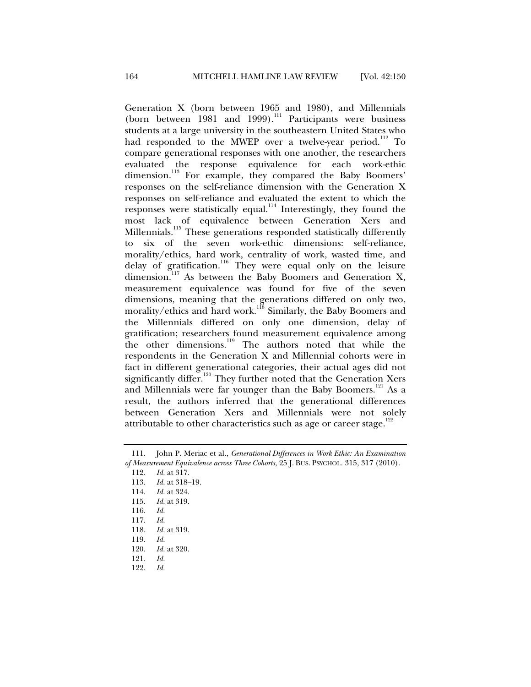Generation X (born between 1965 and 1980), and Millennials (born between 1981 and 1999).<sup>111</sup> Participants were business students at a large university in the southeastern United States who had responded to the MWEP over a twelve-year period.<sup>112</sup> To compare generational responses with one another, the researchers evaluated the response equivalence for each work-ethic dimension.<sup>113</sup> For example, they compared the Baby Boomers' responses on the self-reliance dimension with the Generation X responses on self-reliance and evaluated the extent to which the responses were statistically equal.<sup>114</sup> Interestingly, they found the most lack of equivalence between Generation Xers and Millennials.<sup>115</sup> These generations responded statistically differently to six of the seven work-ethic dimensions: self-reliance, morality/ethics, hard work, centrality of work, wasted time, and delay of gratification.<sup>116</sup> They were equal only on the leisure dimension.<sup>117</sup> As between the Baby Boomers and Generation X, measurement equivalence was found for five of the seven dimensions, meaning that the generations differed on only two, morality/ethics and hard work.<sup>118</sup> Similarly, the Baby Boomers and the Millennials differed on only one dimension, delay of gratification; researchers found measurement equivalence among the other dimensions.<sup>119</sup> The authors noted that while the respondents in the Generation X and Millennial cohorts were in fact in different generational categories, their actual ages did not significantly differ.<sup>120</sup> They further noted that the Generation Xers and Millennials were far younger than the Baby Boomers.<sup>121</sup> As a result, the authors inferred that the generational differences between Generation Xers and Millennials were not solely attributable to other characteristics such as age or career stage.<sup>122</sup>

 <sup>111.</sup> John P. Meriac et al., *Generational Differences in Work Ethic: An Examination of Measurement Equivalence across Three Cohorts*, 25 J. BUS. PSYCHOL. 315, 317 (2010).

 <sup>112.</sup> *Id.* at 317.

 <sup>113.</sup> *Id.* at 318–19.

 <sup>114.</sup> *Id.* at 324.

 <sup>115.</sup> *Id.* at 319.

 <sup>116.</sup> *Id.*

 <sup>117.</sup> *Id. Id.* at 319.

 <sup>119.</sup> *Id.*

 <sup>120.</sup> *Id.* at 320.

 <sup>121.</sup> *Id.*

 <sup>122.</sup> *Id.*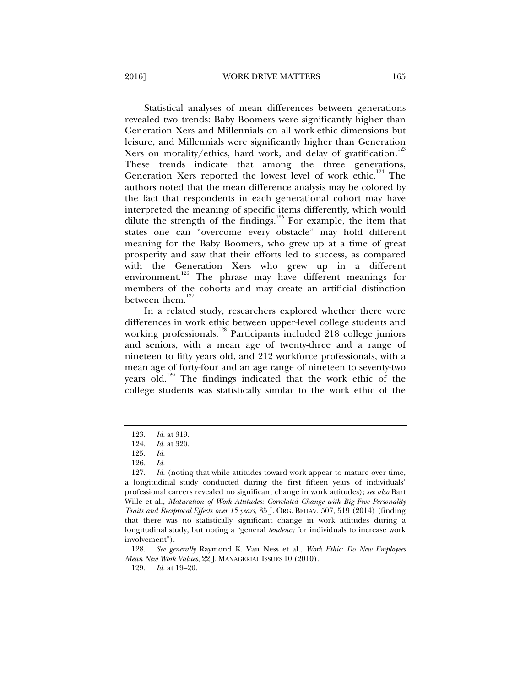2016] WORK DRIVE MATTERS 165

Statistical analyses of mean differences between generations revealed two trends: Baby Boomers were significantly higher than Generation Xers and Millennials on all work-ethic dimensions but leisure, and Millennials were significantly higher than Generation Xers on morality/ethics, hard work, and delay of gratification.<sup>123</sup> These trends indicate that among the three generations, Generation Xers reported the lowest level of work ethic.<sup>124</sup> The authors noted that the mean difference analysis may be colored by the fact that respondents in each generational cohort may have interpreted the meaning of specific items differently, which would dilute the strength of the findings.<sup>125</sup> For example, the item that states one can "overcome every obstacle" may hold different meaning for the Baby Boomers, who grew up at a time of great prosperity and saw that their efforts led to success, as compared with the Generation Xers who grew up in a different environment.<sup>126</sup> The phrase may have different meanings for members of the cohorts and may create an artificial distinction between them.<sup>127</sup>

In a related study, researchers explored whether there were differences in work ethic between upper-level college students and working professionals.<sup>128</sup> Participants included 218 college juniors and seniors, with a mean age of twenty-three and a range of nineteen to fifty years old, and 212 workforce professionals, with a mean age of forty-four and an age range of nineteen to seventy-two years old.<sup>129</sup> The findings indicated that the work ethic of the college students was statistically similar to the work ethic of the

 128. *See generally* Raymond K. Van Ness et al., *Work Ethic: Do New Employees Mean New Work Values*, 22 J. MANAGERIAL ISSUES 10 (2010).

129*. Id.* at 19–20.

 <sup>123.</sup> *Id.* at 319.

 <sup>124.</sup> *Id.* at 320.

 <sup>125.</sup> *Id.* 

 <sup>126.</sup> *Id.* 

 <sup>127.</sup> *Id.* (noting that while attitudes toward work appear to mature over time, a longitudinal study conducted during the first fifteen years of individuals' professional careers revealed no significant change in work attitudes); *see also* Bart Wille et al., *Maturation of Work Attitudes: Correlated Change with Big Five Personality Traits and Reciprocal Effects over 15 years*, 35 J. ORG. BEHAV. 507, 519 (2014) (finding that there was no statistically significant change in work attitudes during a longitudinal study, but noting a "general *tendency* for individuals to increase work involvement").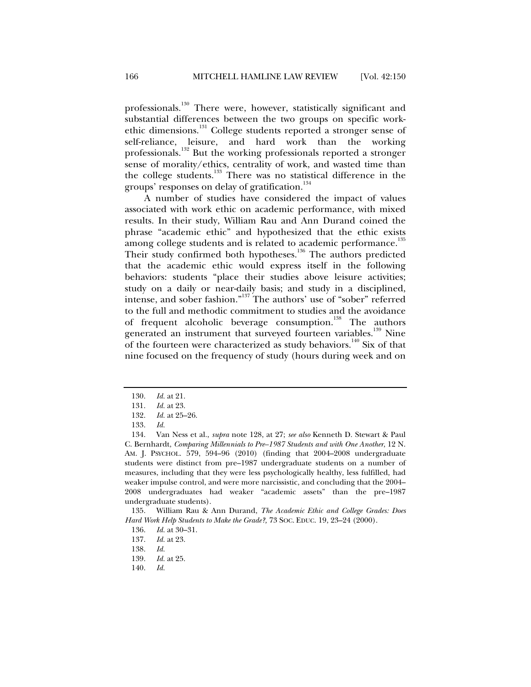professionals.<sup>130</sup> There were, however, statistically significant and substantial differences between the two groups on specific workethic dimensions.131 College students reported a stronger sense of self-reliance, leisure, and hard work than the working professionals.<sup>132</sup> But the working professionals reported a stronger sense of morality/ethics, centrality of work, and wasted time than the college students.<sup>133</sup> There was no statistical difference in the groups' responses on delay of gratification.<sup>134</sup>

A number of studies have considered the impact of values associated with work ethic on academic performance, with mixed results. In their study, William Rau and Ann Durand coined the phrase "academic ethic" and hypothesized that the ethic exists among college students and is related to academic performance.<sup>135</sup> Their study confirmed both hypotheses.<sup>136</sup> The authors predicted that the academic ethic would express itself in the following behaviors: students "place their studies above leisure activities; study on a daily or near-daily basis; and study in a disciplined, intense, and sober fashion."<sup>137</sup> The authors' use of "sober" referred to the full and methodic commitment to studies and the avoidance of frequent alcoholic beverage consumption.<sup>138</sup> The authors generated an instrument that surveyed fourteen variables.<sup>139</sup> Nine of the fourteen were characterized as study behaviors.<sup>140</sup> Six of that nine focused on the frequency of study (hours during week and on

 135. William Rau & Ann Durand, *The Academic Ethic and College Grades: Does Hard Work Help Students to Make the Grade?,* 73 SOC. EDUC. 19, 23–24 (2000).

 <sup>130.</sup> *Id.* at 21.

 <sup>131.</sup> *Id.* at 23.

 <sup>132.</sup> *Id.* at 25–26.

 <sup>133.</sup> *Id.*

 <sup>134.</sup> Van Ness et al., *supra* note 128, at 27; *see also* Kenneth D. Stewart & Paul C. Bernhardt, *Comparing Millennials to Pre–1987 Students and with One Another*, 12 N. AM. J. PSYCHOL. 579, 594–96 (2010) (finding that 2004–2008 undergraduate students were distinct from pre–1987 undergraduate students on a number of measures, including that they were less psychologically healthy, less fulfilled, had weaker impulse control, and were more narcissistic, and concluding that the 2004– 2008 undergraduates had weaker "academic assets" than the pre–1987 undergraduate students).

 <sup>136.</sup> *Id.* at 30–31.

 <sup>137.</sup> *Id.* at 23.

 <sup>138.</sup> *Id.*

 <sup>139.</sup> *Id.* at 25.

 <sup>140.</sup> *Id.*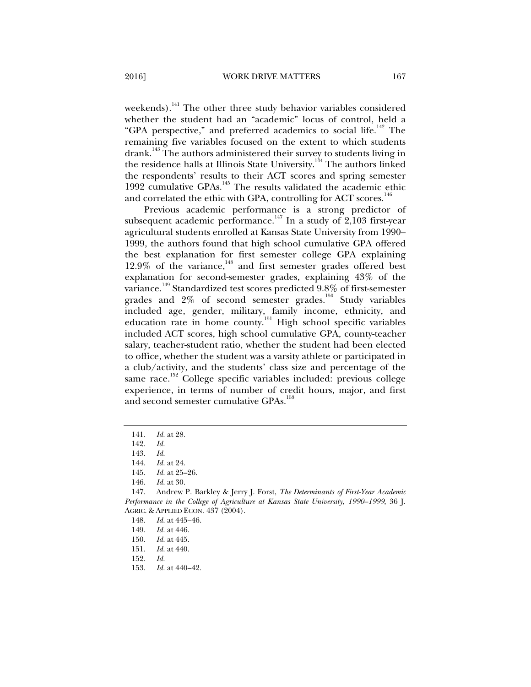weekends).<sup>141</sup> The other three study behavior variables considered whether the student had an "academic" locus of control, held a "GPA perspective," and preferred academics to social life.<sup>142</sup> The remaining five variables focused on the extent to which students drank.<sup>143</sup> The authors administered their survey to students living in the residence halls at Illinois State University.<sup>144</sup> The authors linked the respondents' results to their ACT scores and spring semester 1992 cumulative GPAs.<sup>145</sup> The results validated the academic ethic and correlated the ethic with GPA, controlling for ACT scores.<sup>146</sup>

Previous academic performance is a strong predictor of subsequent academic performance.<sup>147</sup> In a study of 2,103 first-year agricultural students enrolled at Kansas State University from 1990– 1999, the authors found that high school cumulative GPA offered the best explanation for first semester college GPA explaining  $12.9\%$  of the variance,<sup>148</sup> and first semester grades offered best explanation for second-semester grades, explaining 43% of the variance.149 Standardized test scores predicted 9.8% of first-semester grades and 2% of second semester grades.<sup>150</sup> Study variables included age, gender, military, family income, ethnicity, and education rate in home county.151 High school specific variables included ACT scores, high school cumulative GPA, county-teacher salary, teacher-student ratio, whether the student had been elected to office, whether the student was a varsity athlete or participated in a club/activity, and the students' class size and percentage of the same race.<sup>152</sup> College specific variables included: previous college experience, in terms of number of credit hours, major, and first and second semester cumulative GPAs.<sup>153</sup>

 <sup>141.</sup> *Id.* at 28.

<sup>142</sup>*. Id.*

 <sup>143.</sup> *Id.* 

 <sup>144.</sup> *Id.* at 24.

 <sup>145.</sup> *Id.* at 25–26.

 <sup>146.</sup> *Id.* at 30.

 <sup>147.</sup> Andrew P. Barkley & Jerry J. Forst, *The Determinants of First-Year Academic Performance in the College of Agriculture at Kansas State University, 1990–1999*, 36 J. AGRIC. & APPLIED ECON. 437 (2004).

 <sup>148.</sup> *Id.* at 445–46.

 <sup>149.</sup> *Id.* at 446.

 <sup>150.</sup> *Id.* at 445.

 <sup>151.</sup> *Id.* at 440.

 <sup>152.</sup> *Id.* 

 <sup>153.</sup> *Id.* at 440–42.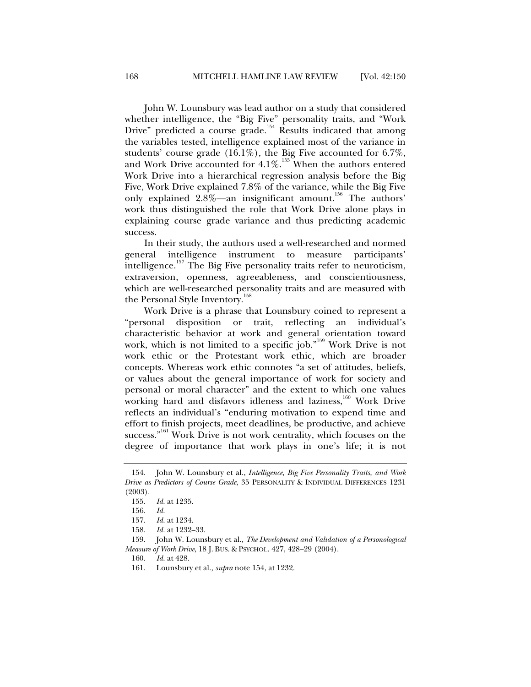John W. Lounsbury was lead author on a study that considered whether intelligence, the "Big Five" personality traits, and "Work Drive" predicted a course grade.<sup>154</sup> Results indicated that among the variables tested, intelligence explained most of the variance in students' course grade (16.1%), the Big Five accounted for 6.7%, and Work Drive accounted for  $4.1\%$ .<sup>155</sup> When the authors entered Work Drive into a hierarchical regression analysis before the Big Five, Work Drive explained 7.8% of the variance, while the Big Five only explained 2.8%—an insignificant amount.<sup>156</sup> The authors' work thus distinguished the role that Work Drive alone plays in explaining course grade variance and thus predicting academic success.

In their study, the authors used a well-researched and normed general intelligence instrument to measure participants' intelligence.157 The Big Five personality traits refer to neuroticism, extraversion, openness, agreeableness, and conscientiousness, which are well-researched personality traits and are measured with the Personal Style Inventory.<sup>158</sup>

Work Drive is a phrase that Lounsbury coined to represent a "personal disposition or trait, reflecting an individual's characteristic behavior at work and general orientation toward work, which is not limited to a specific job."<sup>159</sup> Work Drive is not work ethic or the Protestant work ethic, which are broader concepts. Whereas work ethic connotes "a set of attitudes, beliefs, or values about the general importance of work for society and personal or moral character" and the extent to which one values working hard and disfavors idleness and laziness,<sup>160</sup> Work Drive reflects an individual's "enduring motivation to expend time and effort to finish projects, meet deadlines, be productive, and achieve success."<sup>161</sup> Work Drive is not work centrality, which focuses on the degree of importance that work plays in one's life; it is not

 <sup>154.</sup> John W. Lounsbury et al., *Intelligence, Big Five Personality Traits, and Work Drive as Predictors of Course Grade*, 35 PERSONALITY & INDIVIDUAL DIFFERENCES 1231 (2003).

 <sup>155.</sup> *Id.* at 1235.

 <sup>156.</sup> *Id.*

*Id.* at 1234.

 <sup>158.</sup> *Id.* at 1232–33.

 <sup>159.</sup> John W. Lounsbury et al., *The Development and Validation of a Personological Measure of Work Drive*, 18 J. BUS. & PSYCHOL. 427, 428–29 (2004).

 <sup>160.</sup> *Id.* at 428.

 <sup>161.</sup> Lounsbury et al., *supra* note 154, at 1232.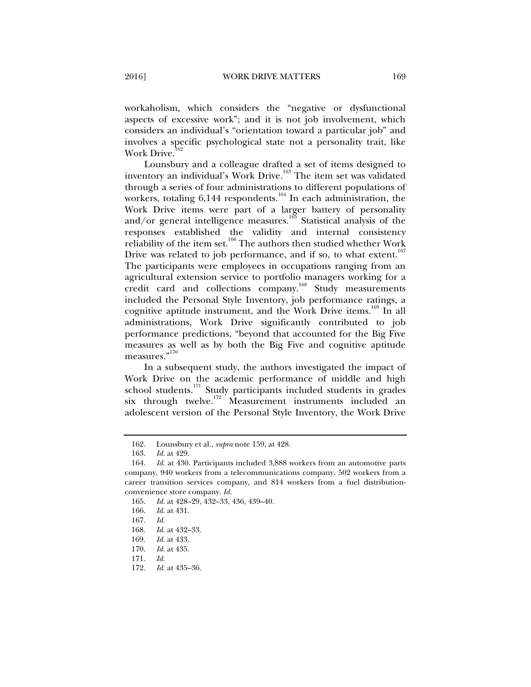workaholism, which considers the "negative or dysfunctional aspects of excessive work"; and it is not job involvement, which considers an individual's "orientation toward a particular job" and involves a specific psychological state not a personality trait, like Work Drive.<sup>1</sup>

Lounsbury and a colleague drafted a set of items designed to inventory an individual's Work Drive.<sup>163</sup> The item set was validated through a series of four administrations to different populations of workers, totaling  $6,144$  respondents.<sup>164</sup> In each administration, the Work Drive items were part of a larger battery of personality and/or general intelligence measures.<sup>165</sup> Statistical analysis of the responses established the validity and internal consistency reliability of the item set.<sup>166</sup> The authors then studied whether Work Drive was related to job performance, and if so, to what extent.<sup>167</sup> The participants were employees in occupations ranging from an agricultural extension service to portfolio managers working for a credit card and collections company.<sup>168</sup> Study measurements included the Personal Style Inventory, job performance ratings, a cognitive aptitude instrument, and the Work Drive items.<sup>169</sup> In all administrations, Work Drive significantly contributed to job performance predictions, "beyond that accounted for the Big Five measures as well as by both the Big Five and cognitive aptitude measures."<sup>170</sup>

In a subsequent study, the authors investigated the impact of Work Drive on the academic performance of middle and high school students.<sup>171</sup> Study participants included students in grades six through twelve.<sup>172</sup> Measurement instruments included an adolescent version of the Personal Style Inventory, the Work Drive

 <sup>162.</sup> Lounsbury et al., *supra* note 159, at 428.

 <sup>163.</sup> *Id.* at 429.

 <sup>164.</sup> *Id.* at 430. Participants included 3,888 workers from an automotive parts company, 940 workers from a telecommunications company, 502 workers from a career transition services company, and 814 workers from a fuel distributionconvenience store company. *Id.*

 <sup>165.</sup> *Id.* at 428–29, 432–33, 436, 439–40.

 <sup>166.</sup> *Id.* at 431.

 <sup>167.</sup> *Id.*

<sup>168</sup>*. Id.* at 432–33.

<sup>169</sup>*. Id.* at 433.

 <sup>170.</sup> *Id.* at 435.

 <sup>171.</sup> *Id.* 

 <sup>172.</sup> *Id.* at 435–36.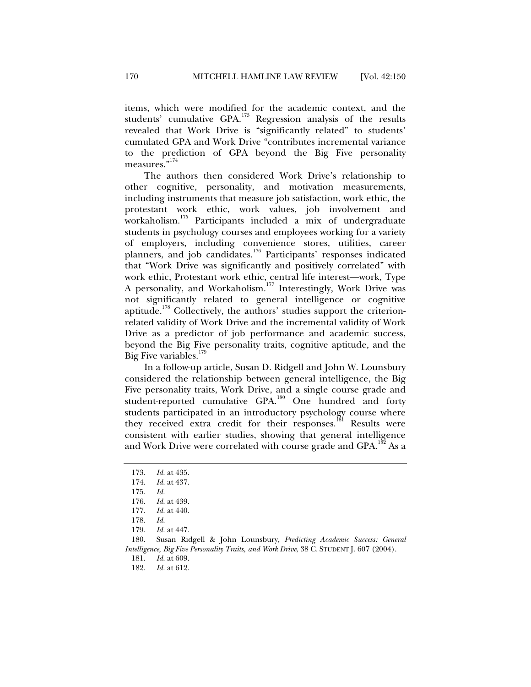items, which were modified for the academic context, and the students' cumulative GPA.<sup>173</sup> Regression analysis of the results revealed that Work Drive is "significantly related" to students' cumulated GPA and Work Drive "contributes incremental variance to the prediction of GPA beyond the Big Five personality measures."<sup>174</sup>

The authors then considered Work Drive's relationship to other cognitive, personality, and motivation measurements, including instruments that measure job satisfaction, work ethic, the protestant work ethic, work values, job involvement and workaholism.175 Participants included a mix of undergraduate students in psychology courses and employees working for a variety of employers, including convenience stores, utilities, career planners, and job candidates.176 Participants' responses indicated that "Work Drive was significantly and positively correlated" with work ethic, Protestant work ethic, central life interest—work, Type A personality, and Workaholism.<sup>177</sup> Interestingly, Work Drive was not significantly related to general intelligence or cognitive aptitude.<sup>178</sup> Collectively, the authors' studies support the criterionrelated validity of Work Drive and the incremental validity of Work Drive as a predictor of job performance and academic success, beyond the Big Five personality traits, cognitive aptitude, and the Big Five variables.<sup>179</sup>

In a follow-up article, Susan D. Ridgell and John W. Lounsbury considered the relationship between general intelligence, the Big Five personality traits, Work Drive, and a single course grade and student-reported cumulative GPA.<sup>180</sup> One hundred and forty students participated in an introductory psychology course where they received extra credit for their responses.<sup>181</sup> Results were consistent with earlier studies, showing that general intelligence and Work Drive were correlated with course grade and GPA.<sup>182</sup> As a

 180. Susan Ridgell & John Lounsbury, *Predicting Academic Success: General Intelligence, Big Five Personality Traits, and Work Drive*, 38 C. STUDENT J. 607 (2004).

181. *Id.* at 609.

 <sup>173.</sup> *Id.* at 435.

 <sup>174.</sup> *Id.* at 437.

 <sup>175.</sup> *Id.*

 <sup>176.</sup> *Id.* at 439.

 <sup>177.</sup> *Id.* at 440.

 <sup>178.</sup> *Id.*

 <sup>179.</sup> *Id.* at 447.

 <sup>182.</sup> *Id.* at 612.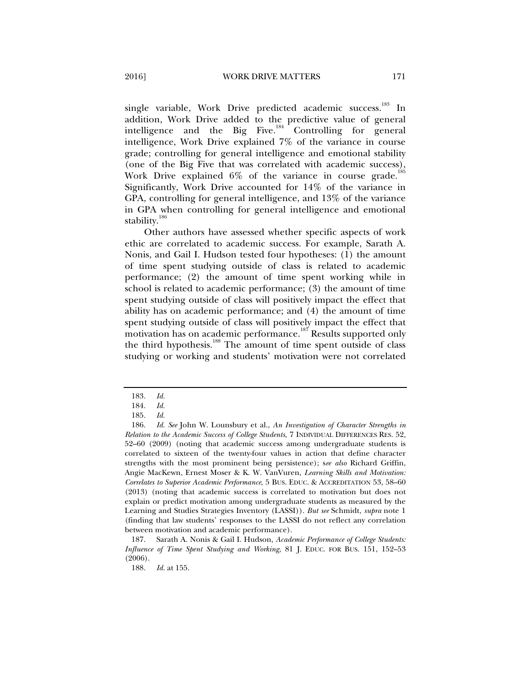single variable, Work Drive predicted academic success.<sup>183</sup> In addition, Work Drive added to the predictive value of general intelligence and the Big Five.<sup>184</sup> Controlling for general intelligence, Work Drive explained 7% of the variance in course grade; controlling for general intelligence and emotional stability (one of the Big Five that was correlated with academic success), Work Drive explained  $6\%$  of the variance in course grade.<sup>18</sup> Significantly, Work Drive accounted for 14% of the variance in GPA, controlling for general intelligence, and 13% of the variance in GPA when controlling for general intelligence and emotional stability.<sup>186</sup>

Other authors have assessed whether specific aspects of work ethic are correlated to academic success. For example, Sarath A. Nonis, and Gail I. Hudson tested four hypotheses: (1) the amount of time spent studying outside of class is related to academic performance; (2) the amount of time spent working while in school is related to academic performance; (3) the amount of time spent studying outside of class will positively impact the effect that ability has on academic performance; and (4) the amount of time spent studying outside of class will positively impact the effect that motivation has on academic performance.<sup>187</sup> Results supported only the third hypothesis.<sup>188</sup> The amount of time spent outside of class studying or working and students' motivation were not correlated

 187. Sarath A. Nonis & Gail I. Hudson, *Academic Performance of College Students: Influence of Time Spent Studying and Working*, 81 J. EDUC. FOR BUS. 151, 152–53 (2006).

 <sup>183.</sup> *Id.* 

 <sup>184.</sup> *Id.*

 <sup>185.</sup> *Id.*

 <sup>186.</sup> *Id. See* John W. Lounsbury et al., *An Investigation of Character Strengths in Relation to the Academic Success of College Students*, 7 INDIVIDUAL DIFFERENCES RES. 52, 52–60 (2009) (noting that academic success among undergraduate students is correlated to sixteen of the twenty-four values in action that define character strengths with the most prominent being persistence); s*ee also* Richard Griffin, Angie MacKewn, Ernest Moser & K. W. VanVuren, *Learning Skills and Motivation: Correlates to Superior Academic Performance*, 5 BUS. EDUC. & ACCREDITATION 53, 58–60 (2013) (noting that academic success is correlated to motivation but does not explain or predict motivation among undergraduate students as measured by the Learning and Studies Strategies Inventory (LASSI)). *But see* Schmidt, *supra* note 1 (finding that law students' responses to the LASSI do not reflect any correlation between motivation and academic performance).

 <sup>188.</sup> *Id.* at 155.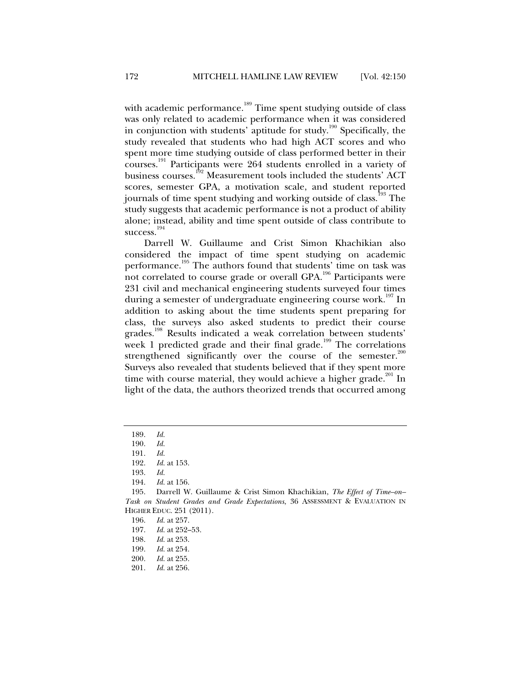with academic performance.<sup>189</sup> Time spent studying outside of class was only related to academic performance when it was considered in conjunction with students' aptitude for study.<sup>190</sup> Specifically, the study revealed that students who had high ACT scores and who spent more time studying outside of class performed better in their courses.191 Participants were 264 students enrolled in a variety of business courses.<sup>192</sup> Measurement tools included the students' ACT scores, semester GPA, a motivation scale, and student reported journals of time spent studying and working outside of class.<sup>193</sup> The study suggests that academic performance is not a product of ability alone; instead, ability and time spent outside of class contribute to success.<sup>194</sup>

Darrell W. Guillaume and Crist Simon Khachikian also considered the impact of time spent studying on academic performance.<sup>195</sup> The authors found that students' time on task was not correlated to course grade or overall GPA.<sup>196</sup> Participants were 231 civil and mechanical engineering students surveyed four times during a semester of undergraduate engineering course work.<sup>197</sup> In addition to asking about the time students spent preparing for class, the surveys also asked students to predict their course grades.<sup>198</sup> Results indicated a weak correlation between students' week 1 predicted grade and their final grade.<sup>199</sup> The correlations strengthened significantly over the course of the semester. $200$ Surveys also revealed that students believed that if they spent more time with course material, they would achieve a higher grade.<sup>201</sup> In light of the data, the authors theorized trends that occurred among

 <sup>189.</sup> *Id.*

 <sup>190.</sup> *Id.*

 <sup>191.</sup> *Id.*

 <sup>192.</sup> *Id.* at 153.

 <sup>193.</sup> *Id.*

 <sup>194.</sup> *Id.* at 156.

 <sup>195.</sup> Darrell W. Guillaume & Crist Simon Khachikian, *The Effect of Time–on– Task on Student Grades and Grade Expectations*, 36 ASSESSMENT & EVALUATION IN HIGHER EDUC. 251 (2011).

 <sup>196.</sup> *Id.* at 257.

 <sup>197.</sup> *Id.* at 252–53.

 <sup>198.</sup> *Id.* at 253.

 <sup>199.</sup> *Id.* at 254.

 <sup>200.</sup> *Id.* at 255.

 <sup>201.</sup> *Id.* at 256.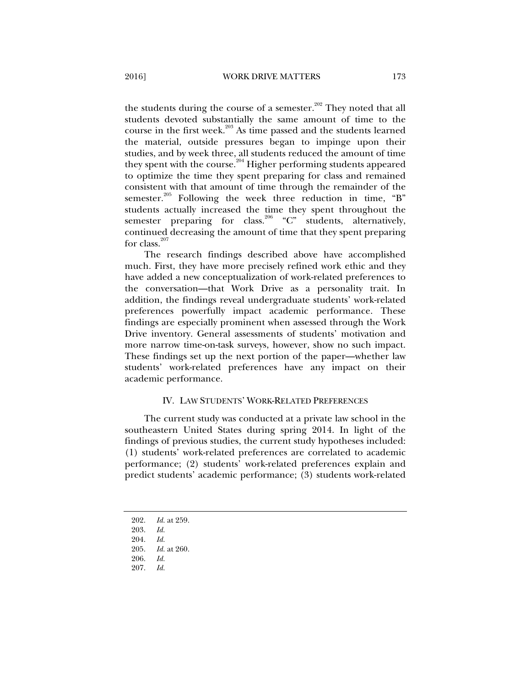the students during the course of a semester.<sup>202</sup> They noted that all students devoted substantially the same amount of time to the course in the first week.<sup>203</sup> As time passed and the students learned the material, outside pressures began to impinge upon their studies, and by week three, all students reduced the amount of time they spent with the course.<sup>204</sup> Higher performing students appeared to optimize the time they spent preparing for class and remained consistent with that amount of time through the remainder of the semester.<sup>205</sup> Following the week three reduction in time, "B" students actually increased the time they spent throughout the semester preparing for class.<sup>206</sup> "C" students, alternatively, continued decreasing the amount of time that they spent preparing for class. $207$ 

The research findings described above have accomplished much. First, they have more precisely refined work ethic and they have added a new conceptualization of work-related preferences to the conversation—that Work Drive as a personality trait. In addition, the findings reveal undergraduate students' work-related preferences powerfully impact academic performance. These findings are especially prominent when assessed through the Work Drive inventory. General assessments of students' motivation and more narrow time-on-task surveys, however, show no such impact. These findings set up the next portion of the paper—whether law students' work-related preferences have any impact on their academic performance.

#### IV. LAW STUDENTS' WORK-RELATED PREFERENCES

The current study was conducted at a private law school in the southeastern United States during spring 2014. In light of the findings of previous studies, the current study hypotheses included: (1) students' work-related preferences are correlated to academic performance; (2) students' work-related preferences explain and predict students' academic performance; (3) students work-related

202. *Id.* at 259.

 <sup>203.</sup> *Id.*

 <sup>204.</sup> *Id.*

 <sup>205.</sup> *Id.* at 260.

 <sup>206.</sup> *Id.*

 <sup>207.</sup> *Id.*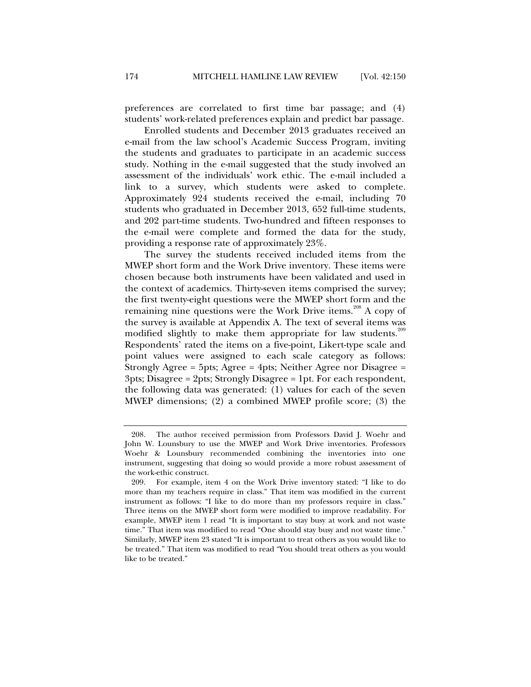preferences are correlated to first time bar passage; and (4) students' work-related preferences explain and predict bar passage.

Enrolled students and December 2013 graduates received an e-mail from the law school's Academic Success Program, inviting the students and graduates to participate in an academic success study. Nothing in the e-mail suggested that the study involved an assessment of the individuals' work ethic. The e-mail included a link to a survey, which students were asked to complete. Approximately 924 students received the e-mail, including 70 students who graduated in December 2013, 652 full-time students, and 202 part-time students. Two-hundred and fifteen responses to the e-mail were complete and formed the data for the study, providing a response rate of approximately 23%.

The survey the students received included items from the MWEP short form and the Work Drive inventory. These items were chosen because both instruments have been validated and used in the context of academics. Thirty-seven items comprised the survey; the first twenty-eight questions were the MWEP short form and the remaining nine questions were the Work Drive items.<sup>208</sup> A copy of the survey is available at Appendix A. The text of several items was modified slightly to make them appropriate for law students.<sup>209</sup> Respondents' rated the items on a five-point, Likert-type scale and point values were assigned to each scale category as follows: Strongly Agree = 5pts; Agree = 4pts; Neither Agree nor Disagree = 3pts; Disagree = 2pts; Strongly Disagree = 1pt. For each respondent, the following data was generated: (1) values for each of the seven MWEP dimensions; (2) a combined MWEP profile score; (3) the

 <sup>208.</sup> The author received permission from Professors David J. Woehr and John W. Lounsbury to use the MWEP and Work Drive inventories. Professors Woehr & Lounsbury recommended combining the inventories into one instrument, suggesting that doing so would provide a more robust assessment of the work-ethic construct.

 <sup>209.</sup> For example, item 4 on the Work Drive inventory stated: "I like to do more than my teachers require in class." That item was modified in the current instrument as follows: "I like to do more than my professors require in class." Three items on the MWEP short form were modified to improve readability. For example, MWEP item 1 read "It is important to stay busy at work and not waste time." That item was modified to read "One should stay busy and not waste time." Similarly, MWEP item 23 stated "It is important to treat others as you would like to be treated." That item was modified to read "You should treat others as you would like to be treated."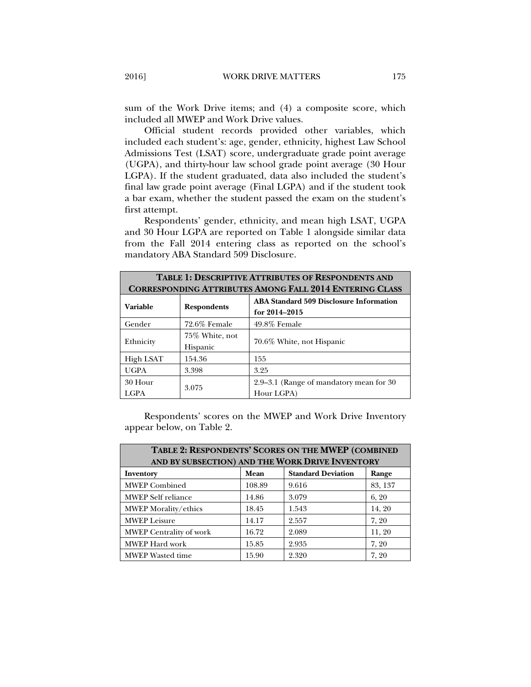sum of the Work Drive items; and (4) a composite score, which included all MWEP and Work Drive values.

Official student records provided other variables, which included each student's: age, gender, ethnicity, highest Law School Admissions Test (LSAT) score, undergraduate grade point average (UGPA), and thirty-hour law school grade point average (30 Hour LGPA). If the student graduated, data also included the student's final law grade point average (Final LGPA) and if the student took a bar exam, whether the student passed the exam on the student's first attempt.

Respondents' gender, ethnicity, and mean high LSAT, UGPA and 30 Hour LGPA are reported on Table 1 alongside similar data from the Fall 2014 entering class as reported on the school's mandatory ABA Standard 509 Disclosure.

| <b>TABLE 1: DESCRIPTIVE ATTRIBUTES OF RESPONDENTS AND</b>      |                            |                                                                 |  |  |  |  |  |  |
|----------------------------------------------------------------|----------------------------|-----------------------------------------------------------------|--|--|--|--|--|--|
| <b>CORRESPONDING ATTRIBUTES AMONG FALL 2014 ENTERING CLASS</b> |                            |                                                                 |  |  |  |  |  |  |
| Variable                                                       | <b>Respondents</b>         | <b>ABA Standard 509 Disclosure Information</b><br>for 2014-2015 |  |  |  |  |  |  |
| Gender                                                         | 72.6% Female               | 49.8% Female                                                    |  |  |  |  |  |  |
| Ethnicity                                                      | 75% White, not<br>Hispanic | 70.6% White, not Hispanic                                       |  |  |  |  |  |  |
| High LSAT                                                      | 154.36                     | 155                                                             |  |  |  |  |  |  |
| <b>UGPA</b>                                                    | 3.398                      | 3.25                                                            |  |  |  |  |  |  |
| 30 Hour<br><b>LGPA</b>                                         | 3.075                      | 2.9–3.1 (Range of mandatory mean for 30)<br>Hour LGPA)          |  |  |  |  |  |  |

Respondents' scores on the MWEP and Work Drive Inventory appear below, on Table 2.

| TABLE 2: RESPONDENTS' SCORES ON THE MWEP (COMBINED<br>AND BY SUBSECTION) AND THE WORK DRIVE INVENTORY |        |                           |         |  |  |  |  |
|-------------------------------------------------------------------------------------------------------|--------|---------------------------|---------|--|--|--|--|
| Inventory                                                                                             | Mean   | <b>Standard Deviation</b> | Range   |  |  |  |  |
| <b>MWEP</b> Combined                                                                                  | 108.89 | 9.616                     | 83, 137 |  |  |  |  |
| <b>MWEP</b> Self reliance                                                                             | 14.86  | 3.079                     | 6, 20   |  |  |  |  |
| MWEP Morality/ethics                                                                                  | 18.45  | 1.543                     | 14, 20  |  |  |  |  |
| <b>MWEP</b> Leisure                                                                                   | 14.17  | 2.557                     | 7, 20   |  |  |  |  |
| <b>MWEP Centrality of work</b>                                                                        | 16.72  | 2.089                     | 11, 20  |  |  |  |  |
| MWEP Hard work                                                                                        | 15.85  | 2.935                     | 7, 20   |  |  |  |  |
| <b>MWEP</b> Wasted time                                                                               | 15.90  | 2.320                     | 7, 20   |  |  |  |  |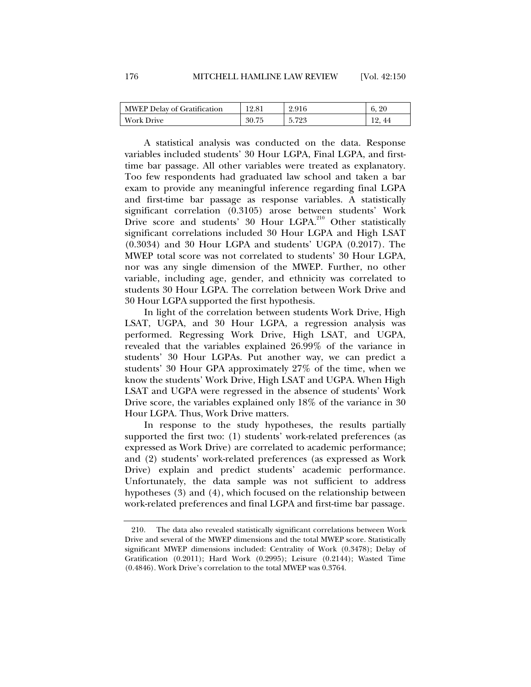| MWEP Delay of Gratification | 12.81 | 2.916                | 20<br>6. |
|-----------------------------|-------|----------------------|----------|
| <b>Work Drive</b>           | 30.75 | 5798<br>$J: I \to J$ | 44       |

A statistical analysis was conducted on the data. Response variables included students' 30 Hour LGPA, Final LGPA, and firsttime bar passage. All other variables were treated as explanatory. Too few respondents had graduated law school and taken a bar exam to provide any meaningful inference regarding final LGPA and first-time bar passage as response variables. A statistically significant correlation (0.3105) arose between students' Work Drive score and students' 30 Hour LGPA.<sup>210</sup> Other statistically significant correlations included 30 Hour LGPA and High LSAT (0.3034) and 30 Hour LGPA and students' UGPA (0.2017). The MWEP total score was not correlated to students' 30 Hour LGPA, nor was any single dimension of the MWEP. Further, no other variable, including age, gender, and ethnicity was correlated to students 30 Hour LGPA. The correlation between Work Drive and 30 Hour LGPA supported the first hypothesis.

In light of the correlation between students Work Drive, High LSAT, UGPA, and 30 Hour LGPA, a regression analysis was performed. Regressing Work Drive, High LSAT, and UGPA, revealed that the variables explained 26.99% of the variance in students' 30 Hour LGPAs. Put another way, we can predict a students' 30 Hour GPA approximately 27% of the time, when we know the students' Work Drive, High LSAT and UGPA. When High LSAT and UGPA were regressed in the absence of students' Work Drive score, the variables explained only 18% of the variance in 30 Hour LGPA. Thus, Work Drive matters.

In response to the study hypotheses, the results partially supported the first two: (1) students' work-related preferences (as expressed as Work Drive) are correlated to academic performance; and (2) students' work-related preferences (as expressed as Work Drive) explain and predict students' academic performance. Unfortunately, the data sample was not sufficient to address hypotheses (3) and (4), which focused on the relationship between work-related preferences and final LGPA and first-time bar passage.

 <sup>210.</sup> The data also revealed statistically significant correlations between Work Drive and several of the MWEP dimensions and the total MWEP score. Statistically significant MWEP dimensions included: Centrality of Work (0.3478); Delay of Gratification (0.2011); Hard Work (0.2995); Leisure (0.2144); Wasted Time (0.4846). Work Drive's correlation to the total MWEP was 0.3764.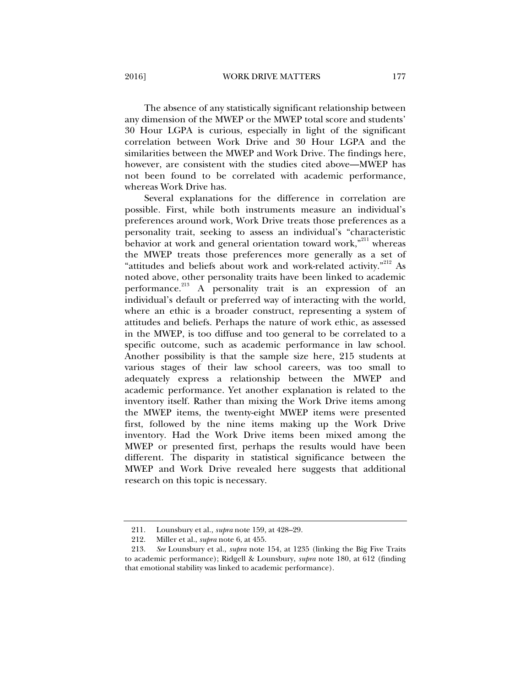The absence of any statistically significant relationship between any dimension of the MWEP or the MWEP total score and students' 30 Hour LGPA is curious, especially in light of the significant correlation between Work Drive and 30 Hour LGPA and the similarities between the MWEP and Work Drive. The findings here, however, are consistent with the studies cited above—MWEP has not been found to be correlated with academic performance, whereas Work Drive has.

Several explanations for the difference in correlation are possible. First, while both instruments measure an individual's preferences around work, Work Drive treats those preferences as a personality trait, seeking to assess an individual's "characteristic behavior at work and general orientation toward work, $"$ <sup>211</sup> whereas the MWEP treats those preferences more generally as a set of "attitudes and beliefs about work and work-related activity."<sup>212</sup> As noted above, other personality traits have been linked to academic performance.<sup>213</sup> A personality trait is an expression of an individual's default or preferred way of interacting with the world, where an ethic is a broader construct, representing a system of attitudes and beliefs. Perhaps the nature of work ethic, as assessed in the MWEP, is too diffuse and too general to be correlated to a specific outcome, such as academic performance in law school. Another possibility is that the sample size here, 215 students at various stages of their law school careers, was too small to adequately express a relationship between the MWEP and academic performance. Yet another explanation is related to the inventory itself. Rather than mixing the Work Drive items among the MWEP items, the twenty-eight MWEP items were presented first, followed by the nine items making up the Work Drive inventory. Had the Work Drive items been mixed among the MWEP or presented first, perhaps the results would have been different. The disparity in statistical significance between the MWEP and Work Drive revealed here suggests that additional research on this topic is necessary.

 <sup>211.</sup> Lounsbury et al., *supra* note 159, at 428–29.

 <sup>212.</sup> Miller et al., *supra* note 6, at 455.

 <sup>213.</sup> *See* Lounsbury et al., *supra* note 154, at 1235 (linking the Big Five Traits to academic performance); Ridgell & Lounsbury, *supra* note 180, at 612 (finding that emotional stability was linked to academic performance).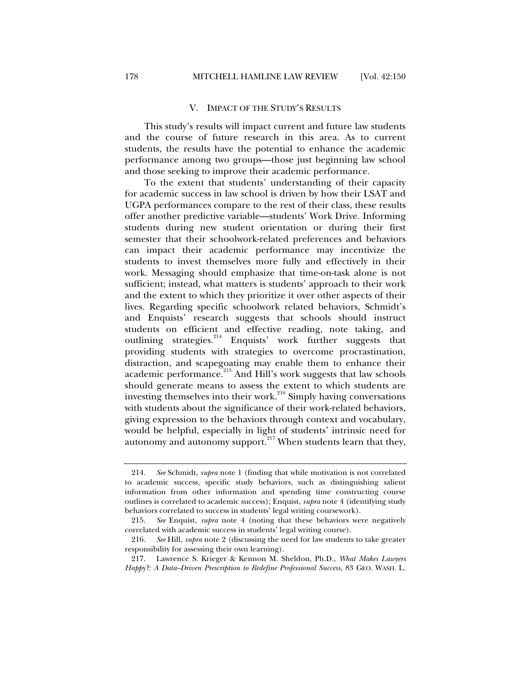#### V. IMPACT OF THE STUDY'S RESULTS

This study's results will impact current and future law students and the course of future research in this area. As to current students, the results have the potential to enhance the academic performance among two groups—those just beginning law school and those seeking to improve their academic performance.

To the extent that students' understanding of their capacity for academic success in law school is driven by how their LSAT and UGPA performances compare to the rest of their class, these results offer another predictive variable—students' Work Drive. Informing students during new student orientation or during their first semester that their schoolwork-related preferences and behaviors can impact their academic performance may incentivize the students to invest themselves more fully and effectively in their work. Messaging should emphasize that time-on-task alone is not sufficient; instead, what matters is students' approach to their work and the extent to which they prioritize it over other aspects of their lives. Regarding specific schoolwork related behaviors, Schmidt's and Enquists' research suggests that schools should instruct students on efficient and effective reading, note taking, and outlining strategies.<sup>214</sup> Enquists' work further suggests that providing students with strategies to overcome procrastination, distraction, and scapegoating may enable them to enhance their academic performance.<sup>1</sup> And Hill's work suggests that law schools should generate means to assess the extent to which students are investing themselves into their work. $^{216}$  Simply having conversations with students about the significance of their work-related behaviors, giving expression to the behaviors through context and vocabulary, would be helpful, especially in light of students' intrinsic need for autonomy and autonomy support.<sup>217</sup> When students learn that they,

 <sup>214.</sup> *See* Schmidt, *supra* note 1 (finding that while motivation is not correlated to academic success, specific study behaviors, such as distinguishing salient information from other information and spending time constructing course outlines is correlated to academic success); Enquist, *supra* note 4 (identifying study behaviors correlated to success in students' legal writing coursework).

 <sup>215.</sup> *See* Enquist, *supra* note 4 (noting that these behaviors were negatively correlated with academic success in students' legal writing course).

 <sup>216.</sup> *See* Hill, *supra* note 2 (discussing the need for law students to take greater responsibility for assessing their own learning).

 <sup>217.</sup> Lawrence S. Krieger & Kennon M. Sheldon, Ph.D., *What Makes Lawyers Happy?: A Data–Driven Prescription to Redefine Professional Success*, 83 GEO. WASH. L.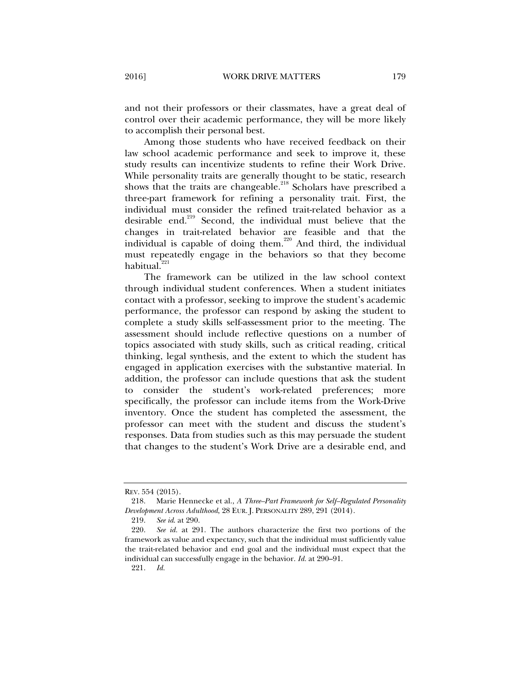and not their professors or their classmates, have a great deal of control over their academic performance, they will be more likely to accomplish their personal best.

Among those students who have received feedback on their law school academic performance and seek to improve it, these study results can incentivize students to refine their Work Drive. While personality traits are generally thought to be static, research shows that the traits are changeable.<sup>218</sup> Scholars have prescribed a three-part framework for refining a personality trait. First, the individual must consider the refined trait-related behavior as a desirable end.<sup>219</sup> Second, the individual must believe that the changes in trait-related behavior are feasible and that the individual is capable of doing them.<sup>220</sup> And third, the individual must repeatedly engage in the behaviors so that they become habitual.<sup>221</sup>

The framework can be utilized in the law school context through individual student conferences. When a student initiates contact with a professor, seeking to improve the student's academic performance, the professor can respond by asking the student to complete a study skills self-assessment prior to the meeting. The assessment should include reflective questions on a number of topics associated with study skills, such as critical reading, critical thinking, legal synthesis, and the extent to which the student has engaged in application exercises with the substantive material. In addition, the professor can include questions that ask the student to consider the student's work-related preferences; more specifically, the professor can include items from the Work-Drive inventory. Once the student has completed the assessment, the professor can meet with the student and discuss the student's responses. Data from studies such as this may persuade the student that changes to the student's Work Drive are a desirable end, and

REV. 554 (2015).

 <sup>218.</sup> Marie Hennecke et al., *A Three–Part Framework for Self–Regulated Personality Development Across Adulthood*, 28 EUR. J. PERSONALITY 289, 291 (2014).

 <sup>219.</sup> *See id*. at 290.

 <sup>220.</sup> *See id.* at 291. The authors characterize the first two portions of the framework as value and expectancy, such that the individual must sufficiently value the trait-related behavior and end goal and the individual must expect that the individual can successfully engage in the behavior. *Id.* at 290–91.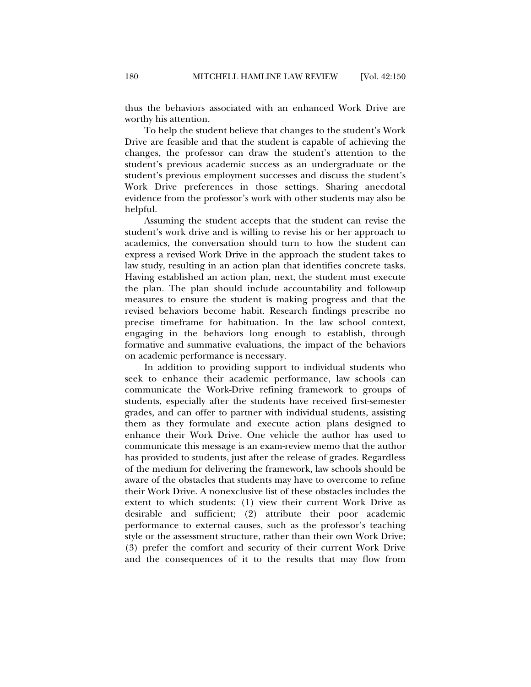thus the behaviors associated with an enhanced Work Drive are worthy his attention.

To help the student believe that changes to the student's Work Drive are feasible and that the student is capable of achieving the changes, the professor can draw the student's attention to the student's previous academic success as an undergraduate or the student's previous employment successes and discuss the student's Work Drive preferences in those settings. Sharing anecdotal evidence from the professor's work with other students may also be helpful.

Assuming the student accepts that the student can revise the student's work drive and is willing to revise his or her approach to academics, the conversation should turn to how the student can express a revised Work Drive in the approach the student takes to law study, resulting in an action plan that identifies concrete tasks. Having established an action plan, next, the student must execute the plan. The plan should include accountability and follow-up measures to ensure the student is making progress and that the revised behaviors become habit. Research findings prescribe no precise timeframe for habituation. In the law school context, engaging in the behaviors long enough to establish, through formative and summative evaluations, the impact of the behaviors on academic performance is necessary.

In addition to providing support to individual students who seek to enhance their academic performance, law schools can communicate the Work-Drive refining framework to groups of students, especially after the students have received first-semester grades, and can offer to partner with individual students, assisting them as they formulate and execute action plans designed to enhance their Work Drive. One vehicle the author has used to communicate this message is an exam-review memo that the author has provided to students, just after the release of grades. Regardless of the medium for delivering the framework, law schools should be aware of the obstacles that students may have to overcome to refine their Work Drive. A nonexclusive list of these obstacles includes the extent to which students: (1) view their current Work Drive as desirable and sufficient; (2) attribute their poor academic performance to external causes, such as the professor's teaching style or the assessment structure, rather than their own Work Drive; (3) prefer the comfort and security of their current Work Drive and the consequences of it to the results that may flow from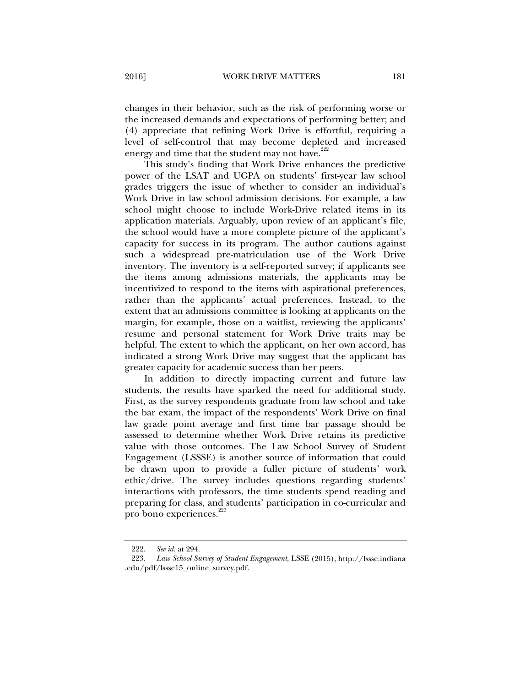changes in their behavior, such as the risk of performing worse or the increased demands and expectations of performing better; and (4) appreciate that refining Work Drive is effortful, requiring a level of self-control that may become depleted and increased energy and time that the student may not have.<sup>222</sup>

This study's finding that Work Drive enhances the predictive power of the LSAT and UGPA on students' first-year law school grades triggers the issue of whether to consider an individual's Work Drive in law school admission decisions. For example, a law school might choose to include Work-Drive related items in its application materials. Arguably, upon review of an applicant's file, the school would have a more complete picture of the applicant's capacity for success in its program. The author cautions against such a widespread pre-matriculation use of the Work Drive inventory. The inventory is a self-reported survey; if applicants see the items among admissions materials, the applicants may be incentivized to respond to the items with aspirational preferences, rather than the applicants' actual preferences. Instead, to the extent that an admissions committee is looking at applicants on the margin, for example, those on a waitlist, reviewing the applicants' resume and personal statement for Work Drive traits may be helpful. The extent to which the applicant, on her own accord, has indicated a strong Work Drive may suggest that the applicant has greater capacity for academic success than her peers.

In addition to directly impacting current and future law students, the results have sparked the need for additional study. First, as the survey respondents graduate from law school and take the bar exam, the impact of the respondents' Work Drive on final law grade point average and first time bar passage should be assessed to determine whether Work Drive retains its predictive value with those outcomes. The Law School Survey of Student Engagement (LSSSE) is another source of information that could be drawn upon to provide a fuller picture of students' work ethic/drive. The survey includes questions regarding students' interactions with professors, the time students spend reading and preparing for class, and students' participation in co-curricular and pro bono experiences.<sup>223</sup>

 <sup>222.</sup> *See id.* at 294.

 <sup>223.</sup> *Law School Survey of Student Engagement*, LSSE (2015), http://lssse.indiana .edu/pdf/lssse15\_online\_survey.pdf.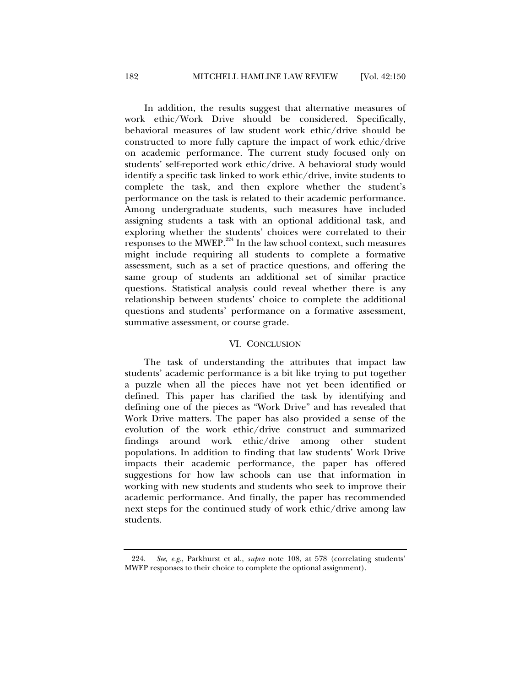In addition, the results suggest that alternative measures of work ethic/Work Drive should be considered. Specifically, behavioral measures of law student work ethic/drive should be constructed to more fully capture the impact of work ethic/drive on academic performance. The current study focused only on students' self-reported work ethic/drive. A behavioral study would identify a specific task linked to work ethic/drive, invite students to complete the task, and then explore whether the student's performance on the task is related to their academic performance. Among undergraduate students, such measures have included assigning students a task with an optional additional task, and exploring whether the students' choices were correlated to their responses to the MWEP.224 In the law school context, such measures might include requiring all students to complete a formative assessment, such as a set of practice questions, and offering the same group of students an additional set of similar practice questions. Statistical analysis could reveal whether there is any relationship between students' choice to complete the additional questions and students' performance on a formative assessment, summative assessment, or course grade.

#### VI. CONCLUSION

The task of understanding the attributes that impact law students' academic performance is a bit like trying to put together a puzzle when all the pieces have not yet been identified or defined. This paper has clarified the task by identifying and defining one of the pieces as "Work Drive" and has revealed that Work Drive matters. The paper has also provided a sense of the evolution of the work ethic/drive construct and summarized findings around work ethic/drive among other student populations. In addition to finding that law students' Work Drive impacts their academic performance, the paper has offered suggestions for how law schools can use that information in working with new students and students who seek to improve their academic performance. And finally, the paper has recommended next steps for the continued study of work ethic/drive among law students.

 <sup>224.</sup> *See, e.g.*, Parkhurst et al., *supra* note 108, at 578 (correlating students' MWEP responses to their choice to complete the optional assignment).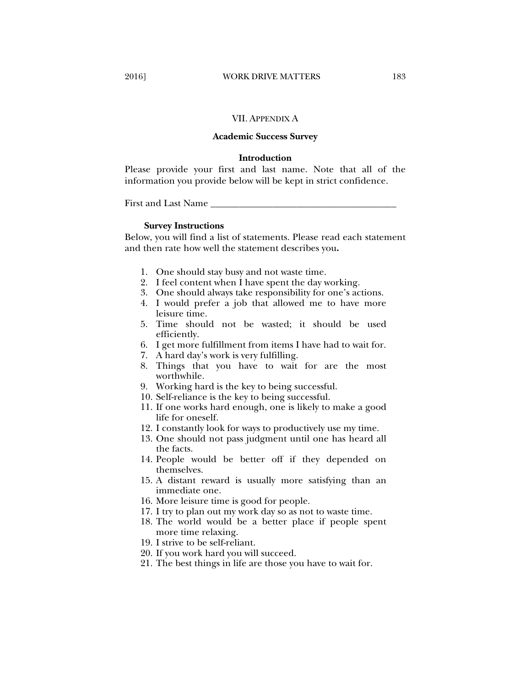#### VII. APPENDIX A

#### **Academic Success Survey**

#### **Introduction**

Please provide your first and last name. Note that all of the information you provide below will be kept in strict confidence.

First and Last Name

#### **Survey Instructions**

Below, you will find a list of statements. Please read each statement and then rate how well the statement describes you**.** 

- 1. One should stay busy and not waste time.
- 2. I feel content when I have spent the day working.
- 3. One should always take responsibility for one's actions.
- 4. I would prefer a job that allowed me to have more leisure time.
- 5. Time should not be wasted; it should be used efficiently.
- 6. I get more fulfillment from items I have had to wait for.
- 7. A hard day's work is very fulfilling.
- 8. Things that you have to wait for are the most worthwhile.
- 9. Working hard is the key to being successful.
- 10. Self-reliance is the key to being successful.
- 11. If one works hard enough, one is likely to make a good life for oneself.
- 12. I constantly look for ways to productively use my time.
- 13. One should not pass judgment until one has heard all the facts.
- 14. People would be better off if they depended on themselves.
- 15. A distant reward is usually more satisfying than an immediate one.
- 16. More leisure time is good for people.
- 17. I try to plan out my work day so as not to waste time.
- 18. The world would be a better place if people spent more time relaxing.
- 19. I strive to be self-reliant.
- 20. If you work hard you will succeed.
- 21. The best things in life are those you have to wait for.